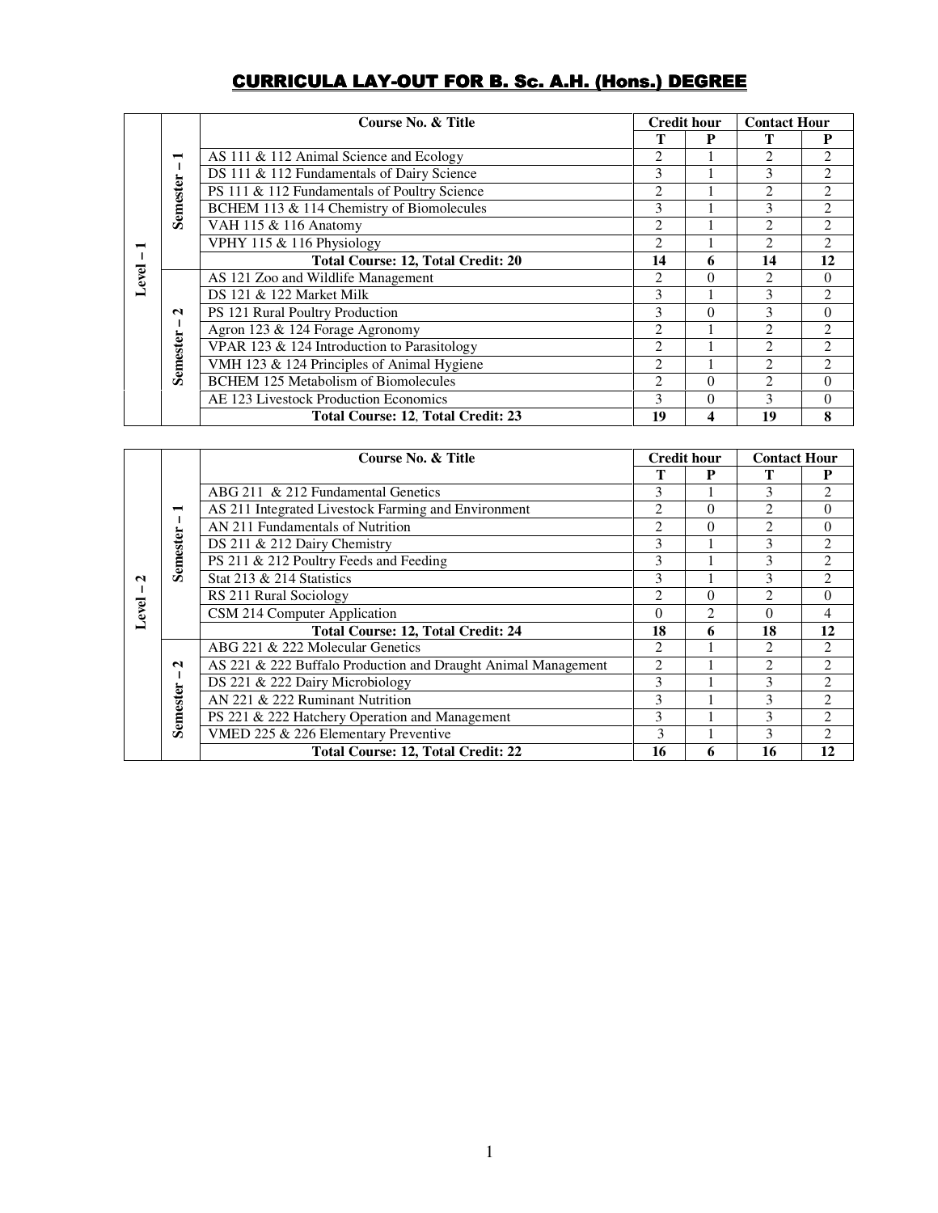# **CURRICULA LAY-OUT FOR B. Sc. A.H. (Hons.) DEGREE**

|       |                               | Course No. & Title<br><b>Credit hour</b>     |                               | <b>Contact Hour</b> |                |                |
|-------|-------------------------------|----------------------------------------------|-------------------------------|---------------------|----------------|----------------|
| Level |                               |                                              |                               | P                   |                |                |
|       | −                             | AS 111 & 112 Animal Science and Ecology      | 2                             |                     | 2              | 2              |
|       |                               | DS 111 & 112 Fundamentals of Dairy Science   | 3                             |                     | 3              | $\mathfrak{D}$ |
|       |                               | PS 111 & 112 Fundamentals of Poultry Science | 2                             |                     | $\mathfrak{D}$ | $\mathfrak{D}$ |
|       | Semester                      | BCHEM 113 & 114 Chemistry of Biomolecules    | 3                             |                     | 3              | $\overline{c}$ |
|       |                               | VAH 115 & 116 Anatomy                        | $\overline{2}$                |                     | $\mathfrak{D}$ | $\overline{c}$ |
|       |                               | VPHY 115 & 116 Physiology                    | $\overline{2}$                |                     | $\mathfrak{D}$ | $\mathfrak{D}$ |
|       |                               | <b>Total Course: 12, Total Credit: 20</b>    | 14                            | 6                   | 14             | 12             |
|       | $\mathbf{\Omega}$<br>Semester | AS 121 Zoo and Wildlife Management           | 2                             | 0                   | $\mathfrak{D}$ | 0              |
|       |                               | DS 121 & 122 Market Milk                     | 3                             |                     | 3              | 2              |
|       |                               | PS 121 Rural Poultry Production              | 3                             | $\Omega$            | 3              | 0              |
|       |                               | Agron 123 & 124 Forage Agronomy              | $\mathfrak{D}_{\mathfrak{p}}$ |                     | 2              | 2              |
|       |                               | VPAR 123 & 124 Introduction to Parasitology  | $\mathfrak{D}_{\mathfrak{p}}$ |                     | 2              | 2              |
|       |                               | VMH 123 & 124 Principles of Animal Hygiene   | $\mathfrak{D}$                |                     | 2              | 2              |
|       |                               | <b>BCHEM 125 Metabolism of Biomolecules</b>  | $\mathfrak{D}$                | 0                   | 2              | 0              |
|       |                               | AE 123 Livestock Production Economics        | $\mathbf{3}$                  | 0                   | 3              | 0              |
|       |                               | Total Course: 12, Total Credit: 23           | 19                            |                     | 19             | 8              |

|                            | −<br>Semester                        | Course No. & Title                                            | <b>Credit hour</b>            |                | <b>Contact Hour</b>         |                |
|----------------------------|--------------------------------------|---------------------------------------------------------------|-------------------------------|----------------|-----------------------------|----------------|
| $\mathbf{\Omega}$<br>Level |                                      |                                                               |                               | P              |                             | P              |
|                            |                                      | ABG 211 & 212 Fundamental Genetics                            | 3                             |                | 3                           | $\overline{2}$ |
|                            |                                      | AS 211 Integrated Livestock Farming and Environment           | $\overline{2}$                | $\Omega$       | 2                           | $\Omega$       |
|                            |                                      | AN 211 Fundamentals of Nutrition                              | $\mathfrak{D}_{\mathfrak{p}}$ | $\Omega$       | $\mathfrak{D}$              | $\Omega$       |
|                            |                                      | DS 211 & 212 Dairy Chemistry                                  | 3                             |                | 3                           | 2              |
|                            |                                      | PS 211 & 212 Poultry Feeds and Feeding                        | 3                             |                | 3                           | 2              |
|                            |                                      | Stat 213 & 214 Statistics                                     | 3                             |                | 3                           | 2              |
|                            |                                      | RS 211 Rural Sociology                                        | $\overline{2}$                | $\theta$       | $\mathcal{D}_{\mathcal{L}}$ | $\theta$       |
|                            |                                      | CSM 214 Computer Application                                  | $\Omega$                      | $\mathfrak{D}$ | $\theta$                    | 4              |
|                            |                                      | <b>Total Course: 12, Total Credit: 24</b>                     | 18                            | 6              | 18                          | 12             |
|                            | $\mathbf{\Omega}$<br><b>Semester</b> | ABG 221 & 222 Molecular Genetics                              | 2                             |                | 2                           | 2              |
|                            |                                      | AS 221 & 222 Buffalo Production and Draught Animal Management | 2                             |                | $\overline{c}$              | 2              |
|                            |                                      | DS 221 & 222 Dairy Microbiology                               | 3                             |                | 3                           | $\overline{2}$ |
|                            |                                      | AN 221 & 222 Ruminant Nutrition                               | 3                             |                | 3                           | 2              |
|                            |                                      | PS 221 & 222 Hatchery Operation and Management                | 3                             |                | 3                           | $\overline{2}$ |
|                            |                                      | VMED 225 & 226 Elementary Preventive                          | $\mathcal{F}$                 |                | 3                           | 2              |
|                            |                                      | <b>Total Course: 12, Total Credit: 22</b>                     | 16                            | 6              | 16                          | 12             |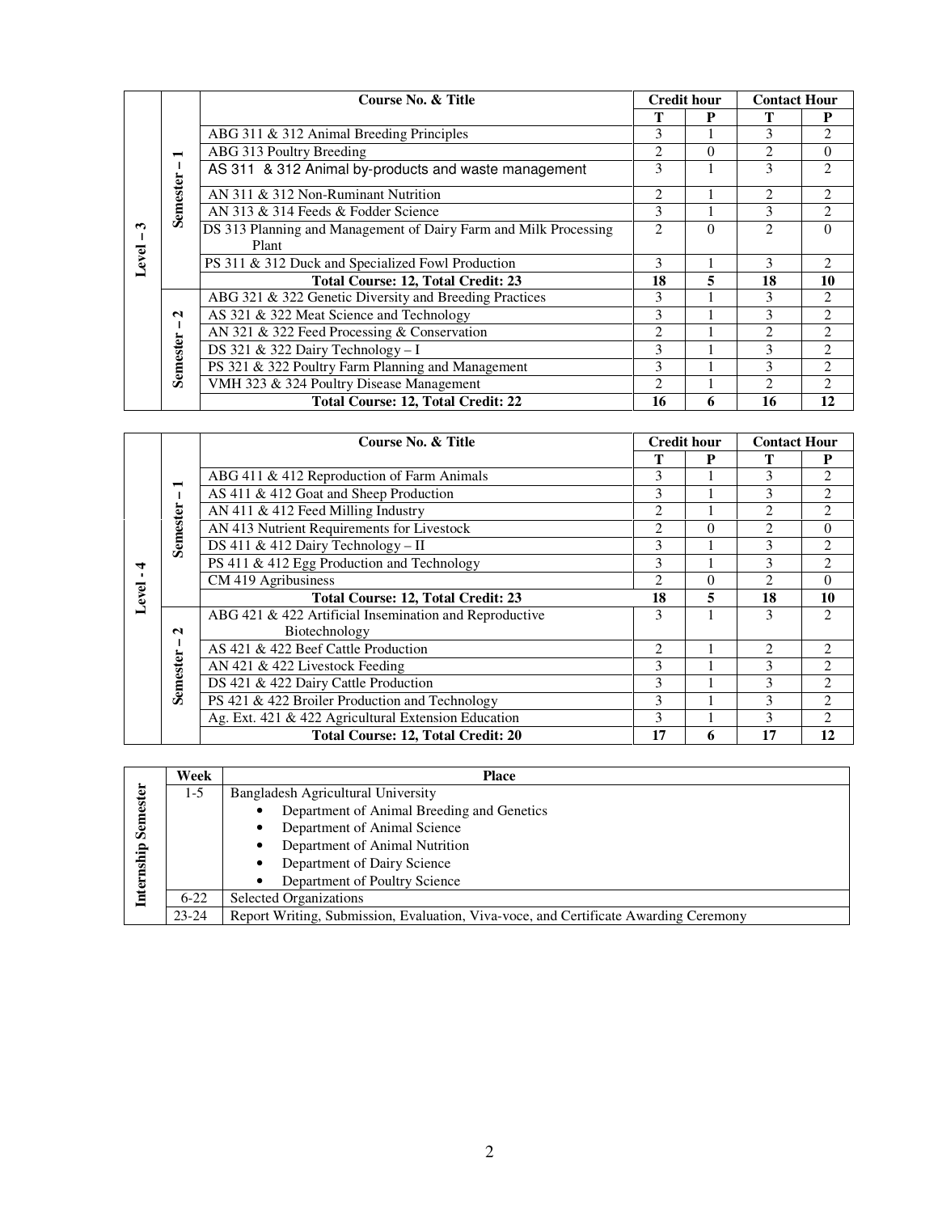|            |                                   | Course No. & Title                                               | <b>Credit hour</b>          |          | <b>Contact Hour</b>         |                |
|------------|-----------------------------------|------------------------------------------------------------------|-----------------------------|----------|-----------------------------|----------------|
| ొ<br>Level |                                   |                                                                  | т                           | P        | т                           | P              |
|            | $\blacksquare$<br><b>Semester</b> | ABG 311 & 312 Animal Breeding Principles                         | 3                           |          | 3                           | 2              |
|            |                                   | ABG 313 Poultry Breeding                                         | $\mathfrak{D}$              | $\Omega$ | 2                           | 0              |
|            |                                   | AS 311 & 312 Animal by-products and waste management             | 3                           |          | 3                           | $\mathfrak{D}$ |
|            |                                   | AN 311 & 312 Non-Ruminant Nutrition                              | 2                           |          | 2                           | 2              |
|            |                                   | AN 313 & 314 Feeds & Fodder Science                              | 3                           |          | 3                           | $\overline{c}$ |
|            |                                   | DS 313 Planning and Management of Dairy Farm and Milk Processing | $\mathfrak{D}$              | $\Omega$ | $\mathfrak{D}$              | $\Omega$       |
|            |                                   | Plant                                                            |                             |          |                             |                |
|            |                                   | PS 311 & 312 Duck and Specialized Fowl Production                | 3                           |          | 3                           | $\mathfrak{D}$ |
|            |                                   | <b>Total Course: 12, Total Credit: 23</b>                        | 18                          | 5        | 18                          | 10             |
|            | $\mathbf{\Omega}$<br>Semester     | ABG 321 & 322 Genetic Diversity and Breeding Practices           | 3                           |          | 3                           | $\mathfrak{D}$ |
|            |                                   | AS 321 & 322 Meat Science and Technology                         | 3                           |          | 3                           | 2              |
|            |                                   | AN 321 & 322 Feed Processing & Conservation                      | $\mathfrak{D}$              |          | 2                           | 2              |
|            |                                   | DS 321 & 322 Dairy Technology - I                                | 3                           |          | 3                           | 2              |
|            |                                   | PS 321 & 322 Poultry Farm Planning and Management                | 3                           |          | 3                           | 2              |
|            |                                   | VMH 323 & 324 Poultry Disease Management                         | $\mathcal{D}_{\mathcal{L}}$ |          | $\mathcal{D}_{\mathcal{L}}$ | 2              |
|            |                                   | <b>Total Course: 12, Total Credit: 22</b>                        | 16                          | 6        | 16                          | 12             |

|       |                               | Course No. & Title                                     | <b>Credit hour</b>            |          | <b>Contact Hour</b> |                |
|-------|-------------------------------|--------------------------------------------------------|-------------------------------|----------|---------------------|----------------|
|       |                               |                                                        | T                             | P        | T                   | P              |
|       | −                             | ABG 411 & 412 Reproduction of Farm Animals             | 3                             |          | 3                   | 2              |
|       |                               | AS 411 & 412 Goat and Sheep Production                 | 3                             |          | 3                   | $\overline{c}$ |
|       |                               | AN 411 & 412 Feed Milling Industry                     | 2                             |          | $\mathfrak{D}$      | $\overline{c}$ |
|       | Semester                      | AN 413 Nutrient Requirements for Livestock             | $\mathfrak{2}$                | $\theta$ | $\mathfrak{D}$      | $\overline{0}$ |
|       |                               | DS 411 & 412 Dairy Technology - II                     | 3                             |          | 3                   | 2              |
| ₹     |                               | PS 411 & 412 Egg Production and Technology             | 3                             |          | 3                   | 2              |
| Level |                               | CM 419 Agribusiness                                    | 2                             | $\theta$ | 2                   | 0              |
|       |                               | <b>Total Course: 12, Total Credit: 23</b>              | 18                            | 5        | 18                  | 10             |
|       | $\mathbf{\Omega}$<br>Semester | ABG 421 & 422 Artificial Insemination and Reproductive | 3                             |          | 3                   | $\mathfrak{D}$ |
|       |                               | Biotechnology                                          |                               |          |                     |                |
|       |                               | AS 421 & 422 Beef Cattle Production                    | $\mathfrak{D}_{\mathfrak{p}}$ |          | 2                   | $\mathfrak{D}$ |
|       |                               | AN 421 & 422 Livestock Feeding                         | 3                             |          | 3                   | 2              |
|       |                               | DS 421 & 422 Dairy Cattle Production                   | 3                             |          | 3                   | 2              |
|       |                               | PS 421 & 422 Broiler Production and Technology         | 3                             |          | 3                   | $\overline{c}$ |
|       |                               | Ag. Ext. 421 & 422 Agricultural Extension Education    | 3                             |          | 3                   | 2              |
|       |                               | <b>Total Course: 12, Total Credit: 20</b>              | 17                            | 6        | 17                  | 12             |

|                                | Week      | <b>Place</b>                                                                         |
|--------------------------------|-----------|--------------------------------------------------------------------------------------|
| emester<br>Ō<br>ship<br>E<br>耳 | $1-5$     | Bangladesh Agricultural University                                                   |
|                                |           | Department of Animal Breeding and Genetics                                           |
|                                |           | Department of Animal Science                                                         |
|                                |           | Department of Animal Nutrition                                                       |
|                                |           | Department of Dairy Science                                                          |
|                                |           | Department of Poultry Science                                                        |
|                                | $6 - 22$  | <b>Selected Organizations</b>                                                        |
|                                | $23 - 24$ | Report Writing, Submission, Evaluation, Viva-voce, and Certificate Awarding Ceremony |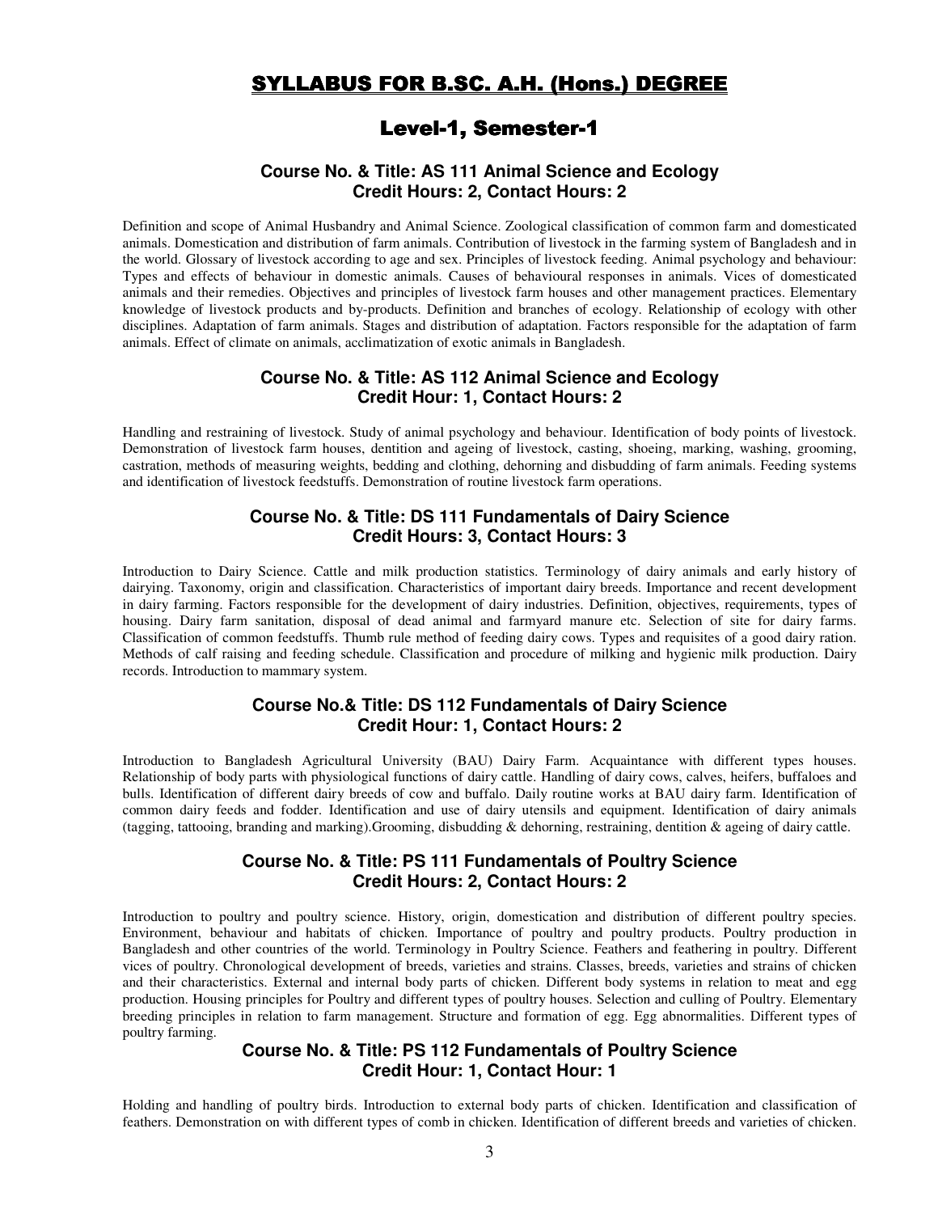# SYLLABUS FOR B.SC. A.H. (Hons.) DEGREE

# Level-1, Semester-1

#### **Course No. & Title: AS 111 Animal Science and Ecology Credit Hours: 2, Contact Hours: 2**

Definition and scope of Animal Husbandry and Animal Science. Zoological classification of common farm and domesticated animals. Domestication and distribution of farm animals. Contribution of livestock in the farming system of Bangladesh and in the world. Glossary of livestock according to age and sex. Principles of livestock feeding. Animal psychology and behaviour: Types and effects of behaviour in domestic animals. Causes of behavioural responses in animals. Vices of domesticated animals and their remedies. Objectives and principles of livestock farm houses and other management practices. Elementary knowledge of livestock products and by-products. Definition and branches of ecology. Relationship of ecology with other disciplines. Adaptation of farm animals. Stages and distribution of adaptation. Factors responsible for the adaptation of farm animals. Effect of climate on animals, acclimatization of exotic animals in Bangladesh.

#### **Course No. & Title: AS 112 Animal Science and Ecology Credit Hour: 1, Contact Hours: 2**

Handling and restraining of livestock. Study of animal psychology and behaviour. Identification of body points of livestock. Demonstration of livestock farm houses, dentition and ageing of livestock, casting, shoeing, marking, washing, grooming, castration, methods of measuring weights, bedding and clothing, dehorning and disbudding of farm animals. Feeding systems and identification of livestock feedstuffs. Demonstration of routine livestock farm operations.

## **Course No. & Title: DS 111 Fundamentals of Dairy Science Credit Hours: 3, Contact Hours: 3**

Introduction to Dairy Science. Cattle and milk production statistics. Terminology of dairy animals and early history of dairying. Taxonomy, origin and classification. Characteristics of important dairy breeds. Importance and recent development in dairy farming. Factors responsible for the development of dairy industries. Definition, objectives, requirements, types of housing. Dairy farm sanitation, disposal of dead animal and farmyard manure etc. Selection of site for dairy farms. Classification of common feedstuffs. Thumb rule method of feeding dairy cows. Types and requisites of a good dairy ration. Methods of calf raising and feeding schedule. Classification and procedure of milking and hygienic milk production. Dairy records. Introduction to mammary system.

#### **Course No.& Title: DS 112 Fundamentals of Dairy Science Credit Hour: 1, Contact Hours: 2**

Introduction to Bangladesh Agricultural University (BAU) Dairy Farm. Acquaintance with different types houses. Relationship of body parts with physiological functions of dairy cattle. Handling of dairy cows, calves, heifers, buffaloes and bulls. Identification of different dairy breeds of cow and buffalo. Daily routine works at BAU dairy farm. Identification of common dairy feeds and fodder. Identification and use of dairy utensils and equipment. Identification of dairy animals (tagging, tattooing, branding and marking).Grooming, disbudding & dehorning, restraining, dentition & ageing of dairy cattle.

## **Course No. & Title: PS 111 Fundamentals of Poultry Science Credit Hours: 2, Contact Hours: 2**

Introduction to poultry and poultry science. History, origin, domestication and distribution of different poultry species. Environment, behaviour and habitats of chicken. Importance of poultry and poultry products. Poultry production in Bangladesh and other countries of the world. Terminology in Poultry Science. Feathers and feathering in poultry. Different vices of poultry. Chronological development of breeds, varieties and strains. Classes, breeds, varieties and strains of chicken and their characteristics. External and internal body parts of chicken. Different body systems in relation to meat and egg production. Housing principles for Poultry and different types of poultry houses. Selection and culling of Poultry. Elementary breeding principles in relation to farm management. Structure and formation of egg. Egg abnormalities. Different types of poultry farming.

## **Course No. & Title: PS 112 Fundamentals of Poultry Science Credit Hour: 1, Contact Hour: 1**

Holding and handling of poultry birds. Introduction to external body parts of chicken. Identification and classification of feathers. Demonstration on with different types of comb in chicken. Identification of different breeds and varieties of chicken.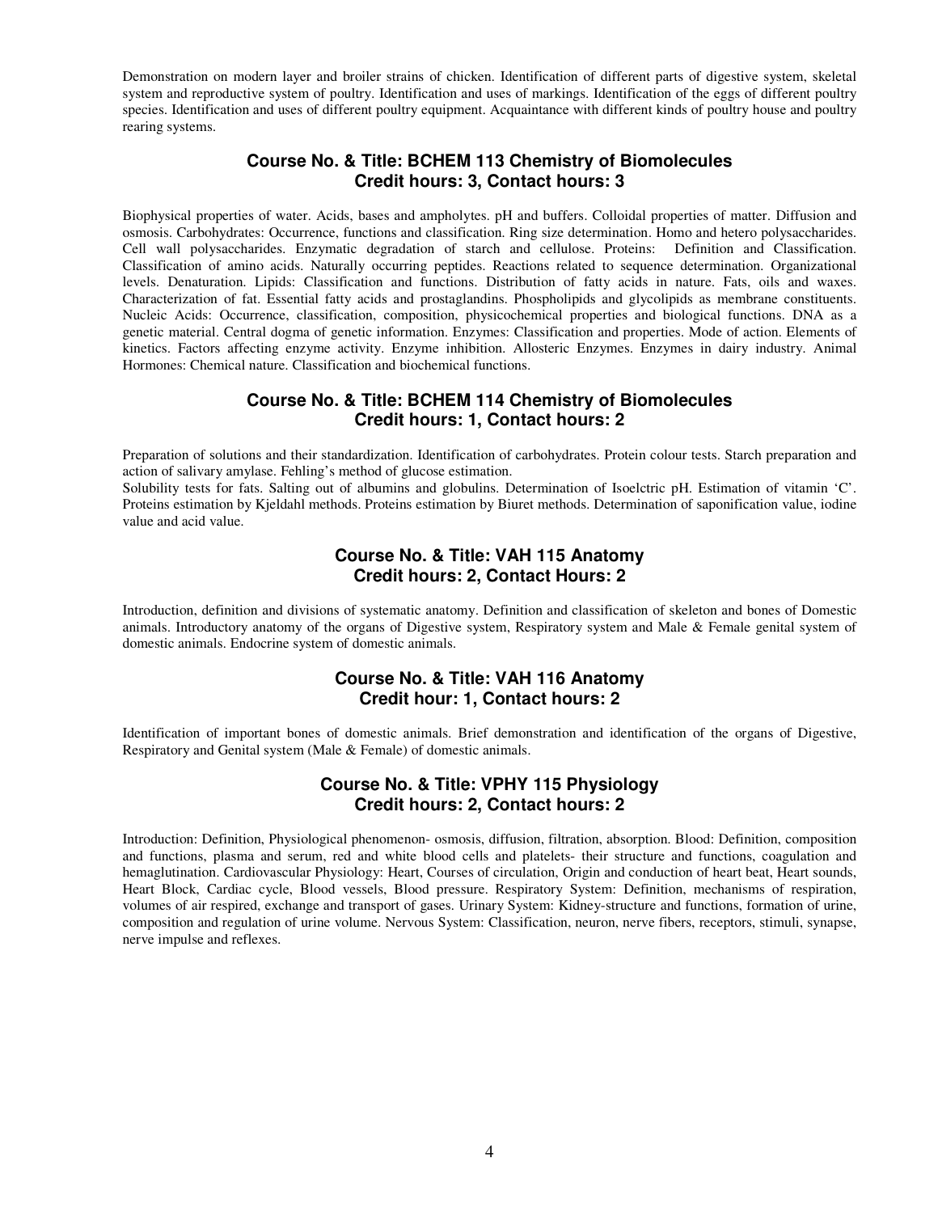Demonstration on modern layer and broiler strains of chicken. Identification of different parts of digestive system, skeletal system and reproductive system of poultry. Identification and uses of markings. Identification of the eggs of different poultry species. Identification and uses of different poultry equipment. Acquaintance with different kinds of poultry house and poultry rearing systems.

## **Course No. & Title: BCHEM 113 Chemistry of Biomolecules Credit hours: 3, Contact hours: 3**

Biophysical properties of water. Acids, bases and ampholytes. pH and buffers. Colloidal properties of matter. Diffusion and osmosis. Carbohydrates: Occurrence, functions and classification. Ring size determination. Homo and hetero polysaccharides. Cell wall polysaccharides. Enzymatic degradation of starch and cellulose. Proteins: Definition and Classification. Classification of amino acids. Naturally occurring peptides. Reactions related to sequence determination. Organizational levels. Denaturation. Lipids: Classification and functions. Distribution of fatty acids in nature. Fats, oils and waxes. Characterization of fat. Essential fatty acids and prostaglandins. Phospholipids and glycolipids as membrane constituents. Nucleic Acids: Occurrence, classification, composition, physicochemical properties and biological functions. DNA as a genetic material. Central dogma of genetic information. Enzymes: Classification and properties. Mode of action. Elements of kinetics. Factors affecting enzyme activity. Enzyme inhibition. Allosteric Enzymes. Enzymes in dairy industry. Animal Hormones: Chemical nature. Classification and biochemical functions.

### **Course No. & Title: BCHEM 114 Chemistry of Biomolecules Credit hours: 1, Contact hours: 2**

Preparation of solutions and their standardization. Identification of carbohydrates. Protein colour tests. Starch preparation and action of salivary amylase. Fehling's method of glucose estimation.

Solubility tests for fats. Salting out of albumins and globulins. Determination of Isoelctric pH. Estimation of vitamin 'C'. Proteins estimation by Kjeldahl methods. Proteins estimation by Biuret methods. Determination of saponification value, iodine value and acid value.

## **Course No. & Title: VAH 115 Anatomy Credit hours: 2, Contact Hours: 2**

Introduction, definition and divisions of systematic anatomy. Definition and classification of skeleton and bones of Domestic animals. Introductory anatomy of the organs of Digestive system, Respiratory system and Male & Female genital system of domestic animals. Endocrine system of domestic animals.

#### **Course No. & Title: VAH 116 Anatomy Credit hour: 1, Contact hours: 2**

Identification of important bones of domestic animals. Brief demonstration and identification of the organs of Digestive, Respiratory and Genital system (Male & Female) of domestic animals.

## **Course No. & Title: VPHY 115 Physiology Credit hours: 2, Contact hours: 2**

Introduction: Definition, Physiological phenomenon- osmosis, diffusion, filtration, absorption. Blood: Definition, composition and functions, plasma and serum, red and white blood cells and platelets- their structure and functions, coagulation and hemaglutination. Cardiovascular Physiology: Heart, Courses of circulation, Origin and conduction of heart beat, Heart sounds, Heart Block, Cardiac cycle, Blood vessels, Blood pressure. Respiratory System: Definition, mechanisms of respiration, volumes of air respired, exchange and transport of gases. Urinary System: Kidney-structure and functions, formation of urine, composition and regulation of urine volume. Nervous System: Classification, neuron, nerve fibers, receptors, stimuli, synapse, nerve impulse and reflexes.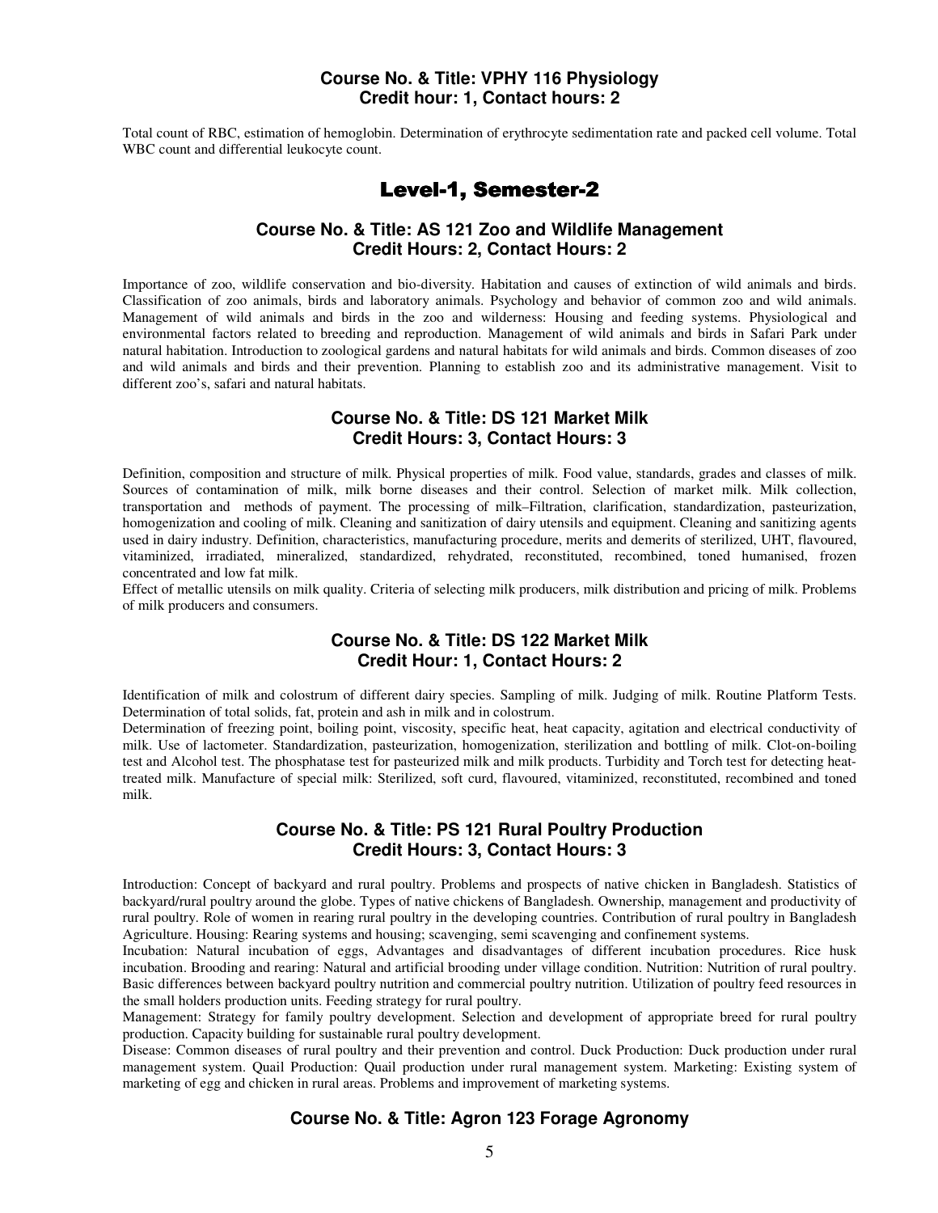## **Course No. & Title: VPHY 116 Physiology Credit hour: 1, Contact hours: 2**

Total count of RBC, estimation of hemoglobin. Determination of erythrocyte sedimentation rate and packed cell volume. Total WBC count and differential leukocyte count.

# Level-1, Semester-2

## **Course No. & Title: AS 121 Zoo and Wildlife Management Credit Hours: 2, Contact Hours: 2**

Importance of zoo, wildlife conservation and bio-diversity. Habitation and causes of extinction of wild animals and birds. Classification of zoo animals, birds and laboratory animals. Psychology and behavior of common zoo and wild animals. Management of wild animals and birds in the zoo and wilderness: Housing and feeding systems. Physiological and environmental factors related to breeding and reproduction. Management of wild animals and birds in Safari Park under natural habitation. Introduction to zoological gardens and natural habitats for wild animals and birds. Common diseases of zoo and wild animals and birds and their prevention. Planning to establish zoo and its administrative management. Visit to different zoo's, safari and natural habitats.

#### **Course No. & Title: DS 121 Market Milk Credit Hours: 3, Contact Hours: 3**

Definition, composition and structure of milk. Physical properties of milk. Food value, standards, grades and classes of milk. Sources of contamination of milk, milk borne diseases and their control. Selection of market milk. Milk collection, transportation and methods of payment. The processing of milk–Filtration, clarification, standardization, pasteurization, homogenization and cooling of milk. Cleaning and sanitization of dairy utensils and equipment. Cleaning and sanitizing agents used in dairy industry. Definition, characteristics, manufacturing procedure, merits and demerits of sterilized, UHT, flavoured, vitaminized, irradiated, mineralized, standardized, rehydrated, reconstituted, recombined, toned humanised, frozen concentrated and low fat milk.

Effect of metallic utensils on milk quality. Criteria of selecting milk producers, milk distribution and pricing of milk. Problems of milk producers and consumers.

## **Course No. & Title: DS 122 Market Milk Credit Hour: 1, Contact Hours: 2**

Identification of milk and colostrum of different dairy species. Sampling of milk. Judging of milk. Routine Platform Tests. Determination of total solids, fat, protein and ash in milk and in colostrum.

Determination of freezing point, boiling point, viscosity, specific heat, heat capacity, agitation and electrical conductivity of milk. Use of lactometer. Standardization, pasteurization, homogenization, sterilization and bottling of milk. Clot-on-boiling test and Alcohol test. The phosphatase test for pasteurized milk and milk products. Turbidity and Torch test for detecting heattreated milk. Manufacture of special milk: Sterilized, soft curd, flavoured, vitaminized, reconstituted, recombined and toned milk.

#### **Course No. & Title: PS 121 Rural Poultry Production Credit Hours: 3, Contact Hours: 3**

Introduction: Concept of backyard and rural poultry. Problems and prospects of native chicken in Bangladesh. Statistics of backyard/rural poultry around the globe. Types of native chickens of Bangladesh. Ownership, management and productivity of rural poultry. Role of women in rearing rural poultry in the developing countries. Contribution of rural poultry in Bangladesh Agriculture. Housing: Rearing systems and housing; scavenging, semi scavenging and confinement systems.

Incubation: Natural incubation of eggs, Advantages and disadvantages of different incubation procedures. Rice husk incubation. Brooding and rearing: Natural and artificial brooding under village condition. Nutrition: Nutrition of rural poultry. Basic differences between backyard poultry nutrition and commercial poultry nutrition. Utilization of poultry feed resources in the small holders production units. Feeding strategy for rural poultry.

Management: Strategy for family poultry development. Selection and development of appropriate breed for rural poultry production. Capacity building for sustainable rural poultry development.

Disease: Common diseases of rural poultry and their prevention and control. Duck Production: Duck production under rural management system. Quail Production: Quail production under rural management system. Marketing: Existing system of marketing of egg and chicken in rural areas. Problems and improvement of marketing systems.

#### **Course No. & Title: Agron 123 Forage Agronomy**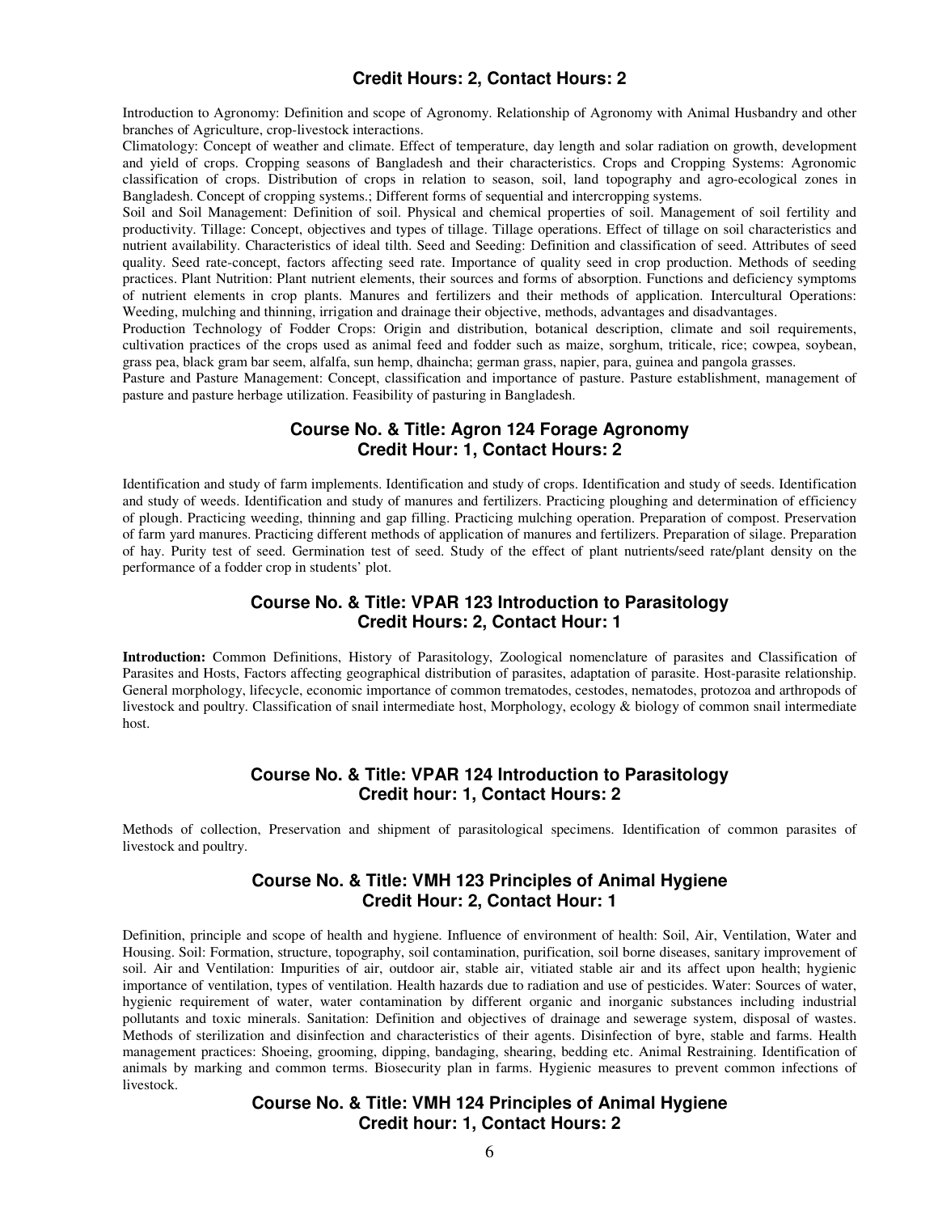## **Credit Hours: 2, Contact Hours: 2**

Introduction to Agronomy: Definition and scope of Agronomy. Relationship of Agronomy with Animal Husbandry and other branches of Agriculture, crop-livestock interactions.

Climatology: Concept of weather and climate. Effect of temperature, day length and solar radiation on growth, development and yield of crops. Cropping seasons of Bangladesh and their characteristics. Crops and Cropping Systems: Agronomic classification of crops. Distribution of crops in relation to season, soil, land topography and agro-ecological zones in Bangladesh. Concept of cropping systems.; Different forms of sequential and intercropping systems.

Soil and Soil Management: Definition of soil. Physical and chemical properties of soil. Management of soil fertility and productivity. Tillage: Concept, objectives and types of tillage. Tillage operations. Effect of tillage on soil characteristics and nutrient availability. Characteristics of ideal tilth. Seed and Seeding: Definition and classification of seed. Attributes of seed quality. Seed rate-concept, factors affecting seed rate. Importance of quality seed in crop production. Methods of seeding practices. Plant Nutrition: Plant nutrient elements, their sources and forms of absorption. Functions and deficiency symptoms of nutrient elements in crop plants. Manures and fertilizers and their methods of application. Intercultural Operations: Weeding, mulching and thinning, irrigation and drainage their objective, methods, advantages and disadvantages.

Production Technology of Fodder Crops: Origin and distribution, botanical description, climate and soil requirements, cultivation practices of the crops used as animal feed and fodder such as maize, sorghum, triticale, rice; cowpea, soybean, grass pea, black gram bar seem, alfalfa, sun hemp, dhaincha; german grass, napier, para, guinea and pangola grasses.

Pasture and Pasture Management: Concept, classification and importance of pasture. Pasture establishment, management of pasture and pasture herbage utilization. Feasibility of pasturing in Bangladesh.

## **Course No. & Title: Agron 124 Forage Agronomy Credit Hour: 1, Contact Hours: 2**

Identification and study of farm implements. Identification and study of crops. Identification and study of seeds. Identification and study of weeds. Identification and study of manures and fertilizers. Practicing ploughing and determination of efficiency of plough. Practicing weeding, thinning and gap filling. Practicing mulching operation. Preparation of compost. Preservation of farm yard manures. Practicing different methods of application of manures and fertilizers. Preparation of silage. Preparation of hay. Purity test of seed. Germination test of seed. Study of the effect of plant nutrients/seed rate/plant density on the performance of a fodder crop in students' plot.

#### **Course No. & Title: VPAR 123 Introduction to Parasitology Credit Hours: 2, Contact Hour: 1**

**Introduction:** Common Definitions, History of Parasitology, Zoological nomenclature of parasites and Classification of Parasites and Hosts, Factors affecting geographical distribution of parasites, adaptation of parasite. Host-parasite relationship. General morphology, lifecycle, economic importance of common trematodes, cestodes, nematodes, protozoa and arthropods of livestock and poultry. Classification of snail intermediate host, Morphology, ecology & biology of common snail intermediate host.

#### **Course No. & Title: VPAR 124 Introduction to Parasitology Credit hour: 1, Contact Hours: 2**

Methods of collection, Preservation and shipment of parasitological specimens. Identification of common parasites of livestock and poultry.

## **Course No. & Title: VMH 123 Principles of Animal Hygiene Credit Hour: 2, Contact Hour: 1**

Definition, principle and scope of health and hygiene. Influence of environment of health: Soil, Air, Ventilation, Water and Housing. Soil: Formation, structure, topography, soil contamination, purification, soil borne diseases, sanitary improvement of soil. Air and Ventilation: Impurities of air, outdoor air, stable air, vitiated stable air and its affect upon health; hygienic importance of ventilation, types of ventilation. Health hazards due to radiation and use of pesticides. Water: Sources of water, hygienic requirement of water, water contamination by different organic and inorganic substances including industrial pollutants and toxic minerals. Sanitation: Definition and objectives of drainage and sewerage system, disposal of wastes. Methods of sterilization and disinfection and characteristics of their agents. Disinfection of byre, stable and farms. Health management practices: Shoeing, grooming, dipping, bandaging, shearing, bedding etc. Animal Restraining. Identification of animals by marking and common terms. Biosecurity plan in farms. Hygienic measures to prevent common infections of livestock.

## **Course No. & Title: VMH 124 Principles of Animal Hygiene Credit hour: 1, Contact Hours: 2**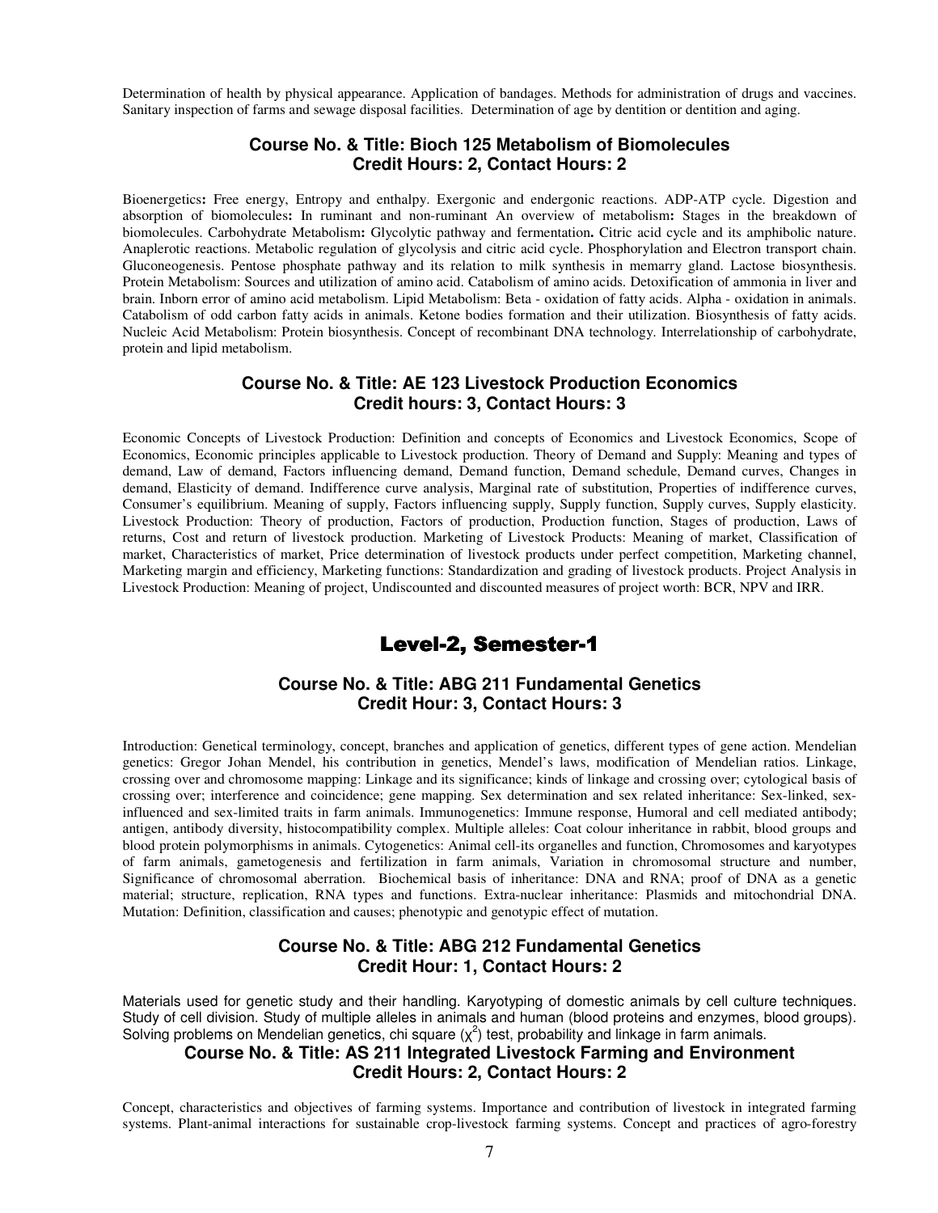Determination of health by physical appearance. Application of bandages. Methods for administration of drugs and vaccines. Sanitary inspection of farms and sewage disposal facilities. Determination of age by dentition or dentition and aging.

## **Course No. & Title: Bioch 125 Metabolism of Biomolecules Credit Hours: 2, Contact Hours: 2**

Bioenergetics**:** Free energy, Entropy and enthalpy. Exergonic and endergonic reactions. ADP-ATP cycle. Digestion and absorption of biomolecules**:** In ruminant and non-ruminant An overview of metabolism**:** Stages in the breakdown of biomolecules. Carbohydrate Metabolism**:** Glycolytic pathway and fermentation**.** Citric acid cycle and its amphibolic nature. Anaplerotic reactions. Metabolic regulation of glycolysis and citric acid cycle. Phosphorylation and Electron transport chain. Gluconeogenesis. Pentose phosphate pathway and its relation to milk synthesis in memarry gland. Lactose biosynthesis. Protein Metabolism: Sources and utilization of amino acid. Catabolism of amino acids. Detoxification of ammonia in liver and brain. Inborn error of amino acid metabolism. Lipid Metabolism: Beta - oxidation of fatty acids. Alpha - oxidation in animals. Catabolism of odd carbon fatty acids in animals. Ketone bodies formation and their utilization. Biosynthesis of fatty acids. Nucleic Acid Metabolism: Protein biosynthesis. Concept of recombinant DNA technology. Interrelationship of carbohydrate, protein and lipid metabolism.

## **Course No. & Title: AE 123 Livestock Production Economics Credit hours: 3, Contact Hours: 3**

Economic Concepts of Livestock Production: Definition and concepts of Economics and Livestock Economics, Scope of Economics, Economic principles applicable to Livestock production. Theory of Demand and Supply: Meaning and types of demand, Law of demand, Factors influencing demand, Demand function, Demand schedule, Demand curves, Changes in demand, Elasticity of demand. Indifference curve analysis, Marginal rate of substitution, Properties of indifference curves, Consumer's equilibrium. Meaning of supply, Factors influencing supply, Supply function, Supply curves, Supply elasticity. Livestock Production: Theory of production, Factors of production, Production function, Stages of production, Laws of returns, Cost and return of livestock production. Marketing of Livestock Products: Meaning of market, Classification of market, Characteristics of market, Price determination of livestock products under perfect competition, Marketing channel, Marketing margin and efficiency, Marketing functions: Standardization and grading of livestock products. Project Analysis in Livestock Production: Meaning of project, Undiscounted and discounted measures of project worth: BCR, NPV and IRR.

# Level-2, Semester-1

### **Course No. & Title: ABG 211 Fundamental Genetics Credit Hour: 3, Contact Hours: 3**

Introduction: Genetical terminology, concept, branches and application of genetics, different types of gene action. Mendelian genetics: Gregor Johan Mendel, his contribution in genetics, Mendel's laws, modification of Mendelian ratios. Linkage, crossing over and chromosome mapping: Linkage and its significance; kinds of linkage and crossing over; cytological basis of crossing over; interference and coincidence; gene mapping. Sex determination and sex related inheritance: Sex-linked, sexinfluenced and sex-limited traits in farm animals. Immunogenetics: Immune response, Humoral and cell mediated antibody; antigen, antibody diversity, histocompatibility complex. Multiple alleles: Coat colour inheritance in rabbit, blood groups and blood protein polymorphisms in animals. Cytogenetics: Animal cell-its organelles and function, Chromosomes and karyotypes of farm animals, gametogenesis and fertilization in farm animals, Variation in chromosomal structure and number, Significance of chromosomal aberration. Biochemical basis of inheritance: DNA and RNA; proof of DNA as a genetic material; structure, replication, RNA types and functions. Extra-nuclear inheritance: Plasmids and mitochondrial DNA. Mutation: Definition, classification and causes; phenotypic and genotypic effect of mutation.

#### **Course No. & Title: ABG 212 Fundamental Genetics Credit Hour: 1, Contact Hours: 2**

Materials used for genetic study and their handling. Karyotyping of domestic animals by cell culture techniques. Study of cell division. Study of multiple alleles in animals and human (blood proteins and enzymes, blood groups). Solving problems on Mendelian genetics, chi square  $(\chi^2)$  test, probability and linkage in farm animals.

## **Course No. & Title: AS 211 Integrated Livestock Farming and Environment Credit Hours: 2, Contact Hours: 2**

Concept, characteristics and objectives of farming systems. Importance and contribution of livestock in integrated farming systems. Plant-animal interactions for sustainable crop-livestock farming systems. Concept and practices of agro-forestry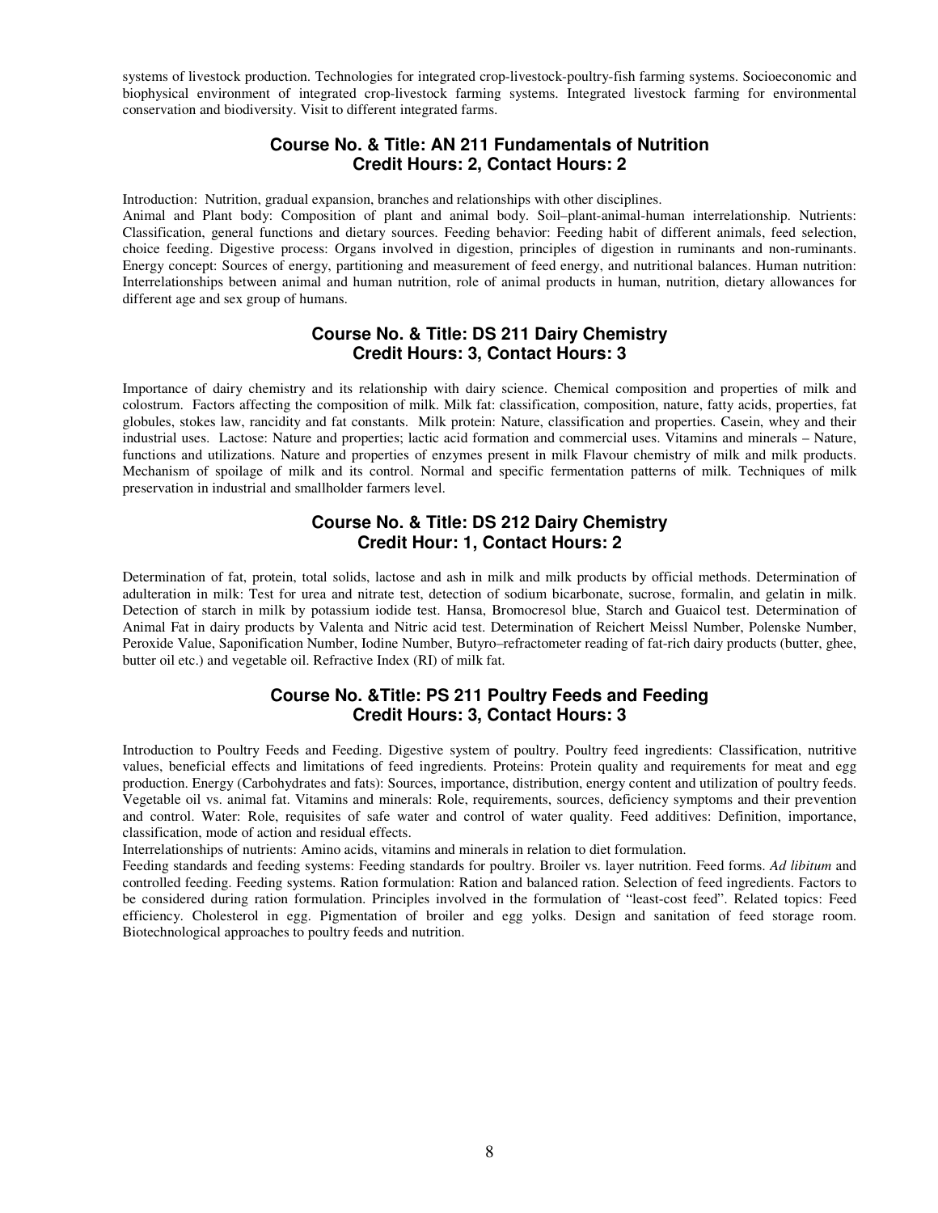systems of livestock production. Technologies for integrated crop-livestock-poultry-fish farming systems. Socioeconomic and biophysical environment of integrated crop-livestock farming systems. Integrated livestock farming for environmental conservation and biodiversity. Visit to different integrated farms.

## **Course No. & Title: AN 211 Fundamentals of Nutrition Credit Hours: 2, Contact Hours: 2**

Introduction: Nutrition, gradual expansion, branches and relationships with other disciplines. Animal and Plant body: Composition of plant and animal body. Soil–plant-animal-human interrelationship. Nutrients: Classification, general functions and dietary sources. Feeding behavior: Feeding habit of different animals, feed selection, choice feeding. Digestive process: Organs involved in digestion, principles of digestion in ruminants and non-ruminants. Energy concept: Sources of energy, partitioning and measurement of feed energy, and nutritional balances. Human nutrition: Interrelationships between animal and human nutrition, role of animal products in human, nutrition, dietary allowances for

different age and sex group of humans.

## **Course No. & Title: DS 211 Dairy Chemistry Credit Hours: 3, Contact Hours: 3**

Importance of dairy chemistry and its relationship with dairy science. Chemical composition and properties of milk and colostrum. Factors affecting the composition of milk. Milk fat: classification, composition, nature, fatty acids, properties, fat globules, stokes law, rancidity and fat constants. Milk protein: Nature, classification and properties. Casein, whey and their industrial uses. Lactose: Nature and properties; lactic acid formation and commercial uses. Vitamins and minerals – Nature, functions and utilizations. Nature and properties of enzymes present in milk Flavour chemistry of milk and milk products. Mechanism of spoilage of milk and its control. Normal and specific fermentation patterns of milk. Techniques of milk preservation in industrial and smallholder farmers level.

## **Course No. & Title: DS 212 Dairy Chemistry Credit Hour: 1, Contact Hours: 2**

Determination of fat, protein, total solids, lactose and ash in milk and milk products by official methods. Determination of adulteration in milk: Test for urea and nitrate test, detection of sodium bicarbonate, sucrose, formalin, and gelatin in milk. Detection of starch in milk by potassium iodide test. Hansa, Bromocresol blue, Starch and Guaicol test. Determination of Animal Fat in dairy products by Valenta and Nitric acid test. Determination of Reichert Meissl Number, Polenske Number, Peroxide Value, Saponification Number, Iodine Number, Butyro–refractometer reading of fat-rich dairy products (butter, ghee, butter oil etc.) and vegetable oil. Refractive Index (RI) of milk fat.

## **Course No. &Title: PS 211 Poultry Feeds and Feeding Credit Hours: 3, Contact Hours: 3**

Introduction to Poultry Feeds and Feeding. Digestive system of poultry. Poultry feed ingredients: Classification, nutritive values, beneficial effects and limitations of feed ingredients. Proteins: Protein quality and requirements for meat and egg production. Energy (Carbohydrates and fats): Sources, importance, distribution, energy content and utilization of poultry feeds. Vegetable oil vs. animal fat. Vitamins and minerals: Role, requirements, sources, deficiency symptoms and their prevention and control. Water: Role, requisites of safe water and control of water quality. Feed additives: Definition, importance, classification, mode of action and residual effects.

Interrelationships of nutrients: Amino acids, vitamins and minerals in relation to diet formulation.

Feeding standards and feeding systems: Feeding standards for poultry. Broiler vs. layer nutrition. Feed forms. *Ad libitum* and controlled feeding. Feeding systems. Ration formulation: Ration and balanced ration. Selection of feed ingredients. Factors to be considered during ration formulation. Principles involved in the formulation of "least-cost feed". Related topics: Feed efficiency. Cholesterol in egg. Pigmentation of broiler and egg yolks. Design and sanitation of feed storage room. Biotechnological approaches to poultry feeds and nutrition.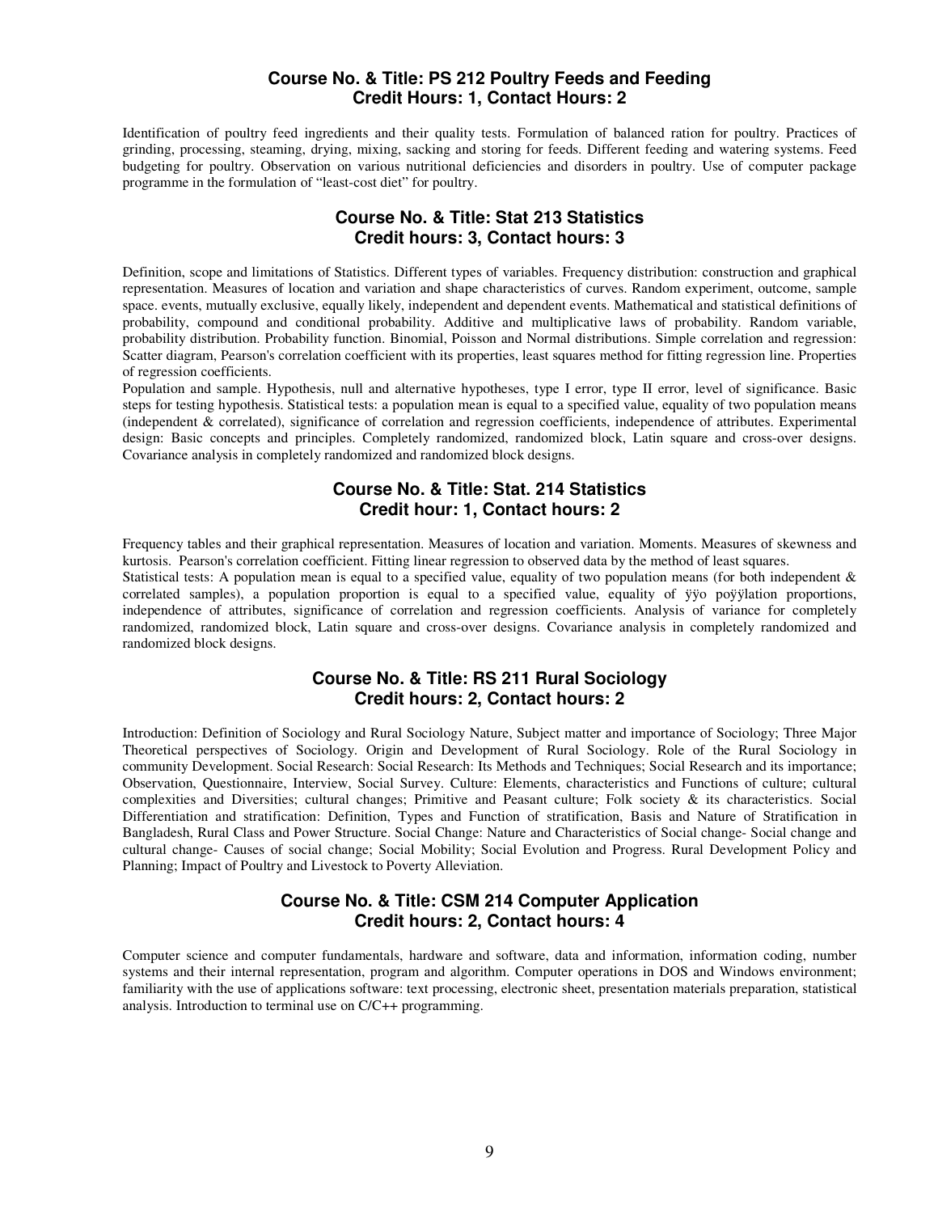#### **Course No. & Title: PS 212 Poultry Feeds and Feeding Credit Hours: 1, Contact Hours: 2**

Identification of poultry feed ingredients and their quality tests. Formulation of balanced ration for poultry. Practices of grinding, processing, steaming, drying, mixing, sacking and storing for feeds. Different feeding and watering systems. Feed budgeting for poultry. Observation on various nutritional deficiencies and disorders in poultry. Use of computer package programme in the formulation of "least-cost diet" for poultry.

## **Course No. & Title: Stat 213 Statistics Credit hours: 3, Contact hours: 3**

Definition, scope and limitations of Statistics. Different types of variables. Frequency distribution: construction and graphical representation. Measures of location and variation and shape characteristics of curves. Random experiment, outcome, sample space. events, mutually exclusive, equally likely, independent and dependent events. Mathematical and statistical definitions of probability, compound and conditional probability. Additive and multiplicative laws of probability. Random variable, probability distribution. Probability function. Binomial, Poisson and Normal distributions. Simple correlation and regression: Scatter diagram, Pearson's correlation coefficient with its properties, least squares method for fitting regression line. Properties of regression coefficients.

Population and sample. Hypothesis, null and alternative hypotheses, type I error, type II error, level of significance. Basic steps for testing hypothesis. Statistical tests: a population mean is equal to a specified value, equality of two population means (independent & correlated), significance of correlation and regression coefficients, independence of attributes. Experimental design: Basic concepts and principles. Completely randomized, randomized block, Latin square and cross-over designs. Covariance analysis in completely randomized and randomized block designs.

## **Course No. & Title: Stat. 214 Statistics Credit hour: 1, Contact hours: 2**

Frequency tables and their graphical representation. Measures of location and variation. Moments. Measures of skewness and kurtosis. Pearson's correlation coefficient. Fitting linear regression to observed data by the method of least squares.

Statistical tests: A population mean is equal to a specified value, equality of two population means (for both independent  $\&$ correlated samples), a population proportion is equal to a specified value, equality of ÿÿo poÿÿlation proportions, independence of attributes, significance of correlation and regression coefficients. Analysis of variance for completely randomized, randomized block, Latin square and cross-over designs. Covariance analysis in completely randomized and randomized block designs.

## **Course No. & Title: RS 211 Rural Sociology Credit hours: 2, Contact hours: 2**

Introduction: Definition of Sociology and Rural Sociology Nature, Subject matter and importance of Sociology; Three Major Theoretical perspectives of Sociology. Origin and Development of Rural Sociology. Role of the Rural Sociology in community Development. Social Research: Social Research: Its Methods and Techniques; Social Research and its importance; Observation, Questionnaire, Interview, Social Survey. Culture: Elements, characteristics and Functions of culture; cultural complexities and Diversities; cultural changes; Primitive and Peasant culture; Folk society & its characteristics. Social Differentiation and stratification: Definition, Types and Function of stratification, Basis and Nature of Stratification in Bangladesh, Rural Class and Power Structure. Social Change: Nature and Characteristics of Social change- Social change and cultural change- Causes of social change; Social Mobility; Social Evolution and Progress. Rural Development Policy and Planning; Impact of Poultry and Livestock to Poverty Alleviation.

## **Course No. & Title: CSM 214 Computer Application Credit hours: 2, Contact hours: 4**

Computer science and computer fundamentals, hardware and software, data and information, information coding, number systems and their internal representation, program and algorithm. Computer operations in DOS and Windows environment; familiarity with the use of applications software: text processing, electronic sheet, presentation materials preparation, statistical analysis. Introduction to terminal use on C/C++ programming.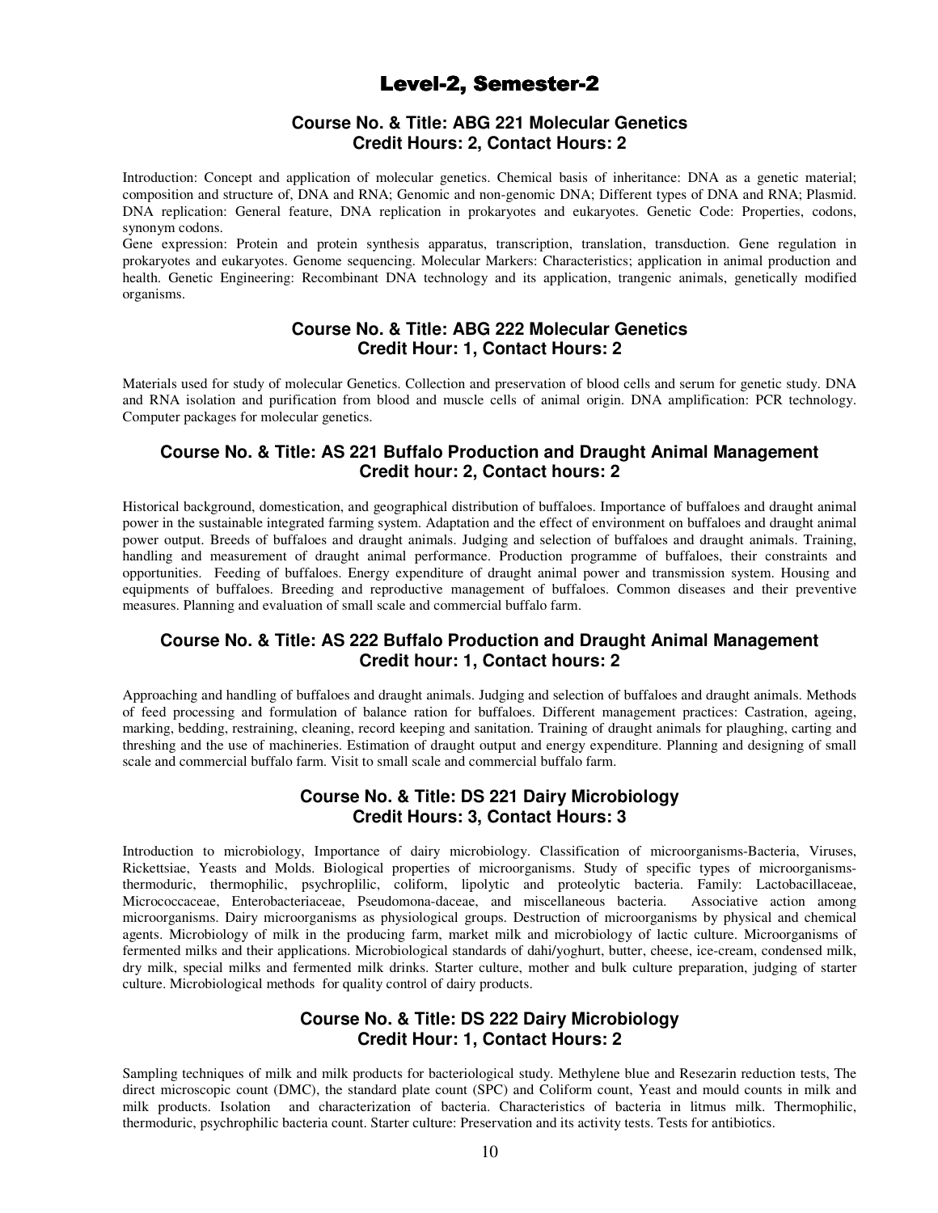# Level-2, Semester-2

## **Course No. & Title: ABG 221 Molecular Genetics Credit Hours: 2, Contact Hours: 2**

Introduction: Concept and application of molecular genetics. Chemical basis of inheritance: DNA as a genetic material; composition and structure of, DNA and RNA; Genomic and non-genomic DNA; Different types of DNA and RNA; Plasmid. DNA replication: General feature, DNA replication in prokaryotes and eukaryotes. Genetic Code: Properties, codons, synonym codons.

Gene expression: Protein and protein synthesis apparatus, transcription, translation, transduction. Gene regulation in prokaryotes and eukaryotes. Genome sequencing. Molecular Markers: Characteristics; application in animal production and health. Genetic Engineering: Recombinant DNA technology and its application, trangenic animals, genetically modified organisms.

## **Course No. & Title: ABG 222 Molecular Genetics Credit Hour: 1, Contact Hours: 2**

Materials used for study of molecular Genetics. Collection and preservation of blood cells and serum for genetic study. DNA and RNA isolation and purification from blood and muscle cells of animal origin. DNA amplification: PCR technology. Computer packages for molecular genetics.

#### **Course No. & Title: AS 221 Buffalo Production and Draught Animal Management Credit hour: 2, Contact hours: 2**

Historical background, domestication, and geographical distribution of buffaloes. Importance of buffaloes and draught animal power in the sustainable integrated farming system. Adaptation and the effect of environment on buffaloes and draught animal power output. Breeds of buffaloes and draught animals. Judging and selection of buffaloes and draught animals. Training, handling and measurement of draught animal performance. Production programme of buffaloes, their constraints and opportunities. Feeding of buffaloes. Energy expenditure of draught animal power and transmission system. Housing and equipments of buffaloes. Breeding and reproductive management of buffaloes. Common diseases and their preventive measures. Planning and evaluation of small scale and commercial buffalo farm.

## **Course No. & Title: AS 222 Buffalo Production and Draught Animal Management Credit hour: 1, Contact hours: 2**

Approaching and handling of buffaloes and draught animals. Judging and selection of buffaloes and draught animals. Methods of feed processing and formulation of balance ration for buffaloes. Different management practices: Castration, ageing, marking, bedding, restraining, cleaning, record keeping and sanitation. Training of draught animals for plaughing, carting and threshing and the use of machineries. Estimation of draught output and energy expenditure. Planning and designing of small scale and commercial buffalo farm. Visit to small scale and commercial buffalo farm.

## **Course No. & Title: DS 221 Dairy Microbiology Credit Hours: 3, Contact Hours: 3**

Introduction to microbiology, Importance of dairy microbiology. Classification of microorganisms-Bacteria, Viruses, Rickettsiae, Yeasts and Molds. Biological properties of microorganisms. Study of specific types of microorganismsthermoduric, thermophilic, psychroplilic, coliform, lipolytic and proteolytic bacteria. Family: Lactobacillaceae, Micrococcaceae, Enterobacteriaceae, Pseudomona-daceae, and miscellaneous bacteria. Associative action among microorganisms. Dairy microorganisms as physiological groups. Destruction of microorganisms by physical and chemical agents. Microbiology of milk in the producing farm, market milk and microbiology of lactic culture. Microorganisms of fermented milks and their applications. Microbiological standards of dahi/yoghurt, butter, cheese, ice-cream, condensed milk, dry milk, special milks and fermented milk drinks. Starter culture, mother and bulk culture preparation, judging of starter culture. Microbiological methods for quality control of dairy products.

## **Course No. & Title: DS 222 Dairy Microbiology Credit Hour: 1, Contact Hours: 2**

Sampling techniques of milk and milk products for bacteriological study. Methylene blue and Resezarin reduction tests, The direct microscopic count (DMC), the standard plate count (SPC) and Coliform count, Yeast and mould counts in milk and milk products. Isolation and characterization of bacteria. Characteristics of bacteria in litmus milk. Thermophilic, thermoduric, psychrophilic bacteria count. Starter culture: Preservation and its activity tests. Tests for antibiotics.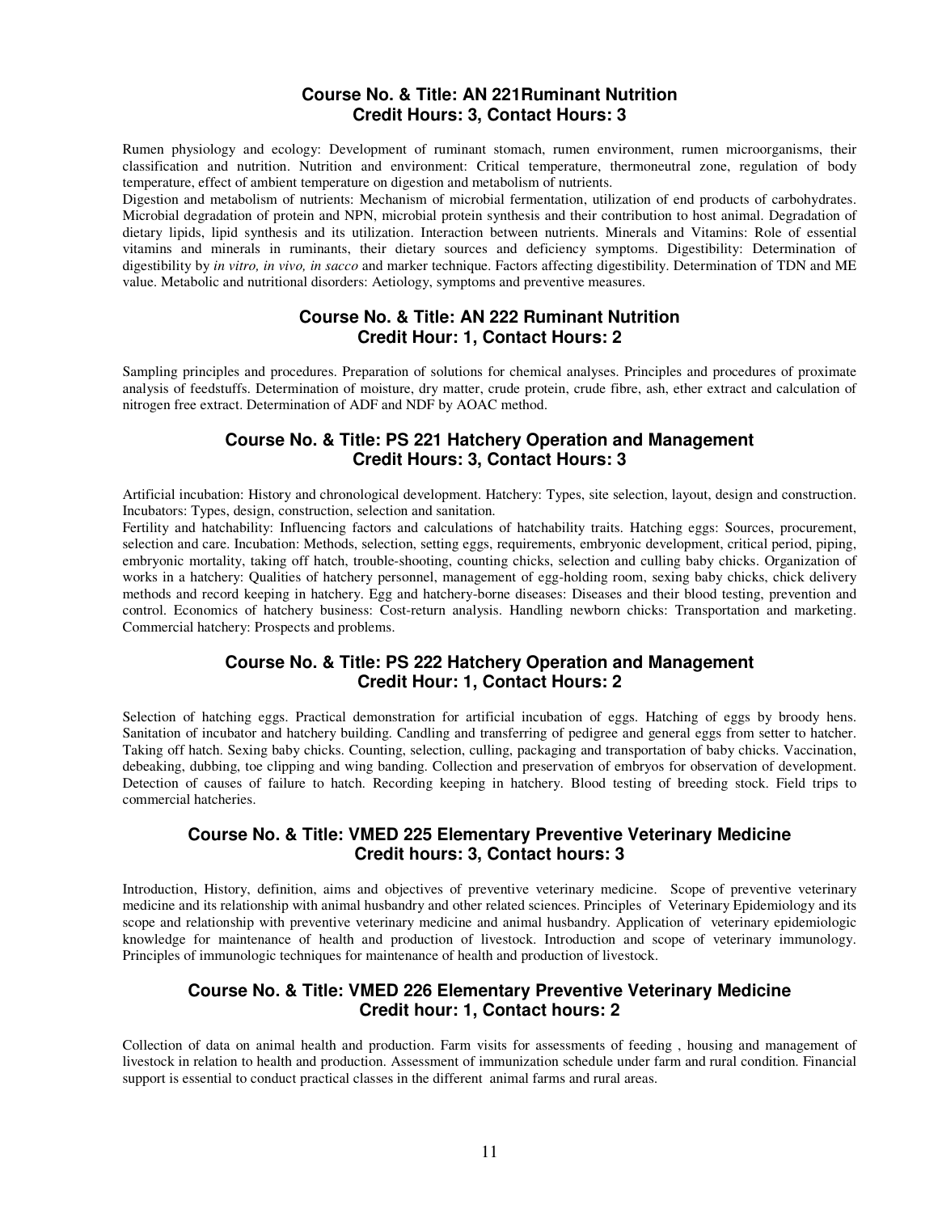#### **Course No. & Title: AN 221Ruminant Nutrition Credit Hours: 3, Contact Hours: 3**

Rumen physiology and ecology: Development of ruminant stomach, rumen environment, rumen microorganisms, their classification and nutrition. Nutrition and environment: Critical temperature, thermoneutral zone, regulation of body temperature, effect of ambient temperature on digestion and metabolism of nutrients.

Digestion and metabolism of nutrients: Mechanism of microbial fermentation, utilization of end products of carbohydrates. Microbial degradation of protein and NPN, microbial protein synthesis and their contribution to host animal. Degradation of dietary lipids, lipid synthesis and its utilization. Interaction between nutrients. Minerals and Vitamins: Role of essential vitamins and minerals in ruminants, their dietary sources and deficiency symptoms. Digestibility: Determination of digestibility by *in vitro, in vivo, in sacco* and marker technique. Factors affecting digestibility. Determination of TDN and ME value. Metabolic and nutritional disorders: Aetiology, symptoms and preventive measures.

## **Course No. & Title: AN 222 Ruminant Nutrition Credit Hour: 1, Contact Hours: 2**

Sampling principles and procedures. Preparation of solutions for chemical analyses. Principles and procedures of proximate analysis of feedstuffs. Determination of moisture, dry matter, crude protein, crude fibre, ash, ether extract and calculation of nitrogen free extract. Determination of ADF and NDF by AOAC method.

#### **Course No. & Title: PS 221 Hatchery Operation and Management Credit Hours: 3, Contact Hours: 3**

Artificial incubation: History and chronological development. Hatchery: Types, site selection, layout, design and construction. Incubators: Types, design, construction, selection and sanitation.

Fertility and hatchability: Influencing factors and calculations of hatchability traits. Hatching eggs: Sources, procurement, selection and care. Incubation: Methods, selection, setting eggs, requirements, embryonic development, critical period, piping, embryonic mortality, taking off hatch, trouble-shooting, counting chicks, selection and culling baby chicks. Organization of works in a hatchery: Qualities of hatchery personnel, management of egg-holding room, sexing baby chicks, chick delivery methods and record keeping in hatchery. Egg and hatchery-borne diseases: Diseases and their blood testing, prevention and control. Economics of hatchery business: Cost-return analysis. Handling newborn chicks: Transportation and marketing. Commercial hatchery: Prospects and problems.

#### **Course No. & Title: PS 222 Hatchery Operation and Management Credit Hour: 1, Contact Hours: 2**

Selection of hatching eggs. Practical demonstration for artificial incubation of eggs. Hatching of eggs by broody hens. Sanitation of incubator and hatchery building. Candling and transferring of pedigree and general eggs from setter to hatcher. Taking off hatch. Sexing baby chicks. Counting, selection, culling, packaging and transportation of baby chicks. Vaccination, debeaking, dubbing, toe clipping and wing banding. Collection and preservation of embryos for observation of development. Detection of causes of failure to hatch. Recording keeping in hatchery. Blood testing of breeding stock. Field trips to commercial hatcheries.

#### **Course No. & Title: VMED 225 Elementary Preventive Veterinary Medicine Credit hours: 3, Contact hours: 3**

Introduction, History, definition, aims and objectives of preventive veterinary medicine. Scope of preventive veterinary medicine and its relationship with animal husbandry and other related sciences. Principles of Veterinary Epidemiology and its scope and relationship with preventive veterinary medicine and animal husbandry. Application of veterinary epidemiologic knowledge for maintenance of health and production of livestock. Introduction and scope of veterinary immunology. Principles of immunologic techniques for maintenance of health and production of livestock.

## **Course No. & Title: VMED 226 Elementary Preventive Veterinary Medicine Credit hour: 1, Contact hours: 2**

Collection of data on animal health and production. Farm visits for assessments of feeding , housing and management of livestock in relation to health and production. Assessment of immunization schedule under farm and rural condition. Financial support is essential to conduct practical classes in the different animal farms and rural areas.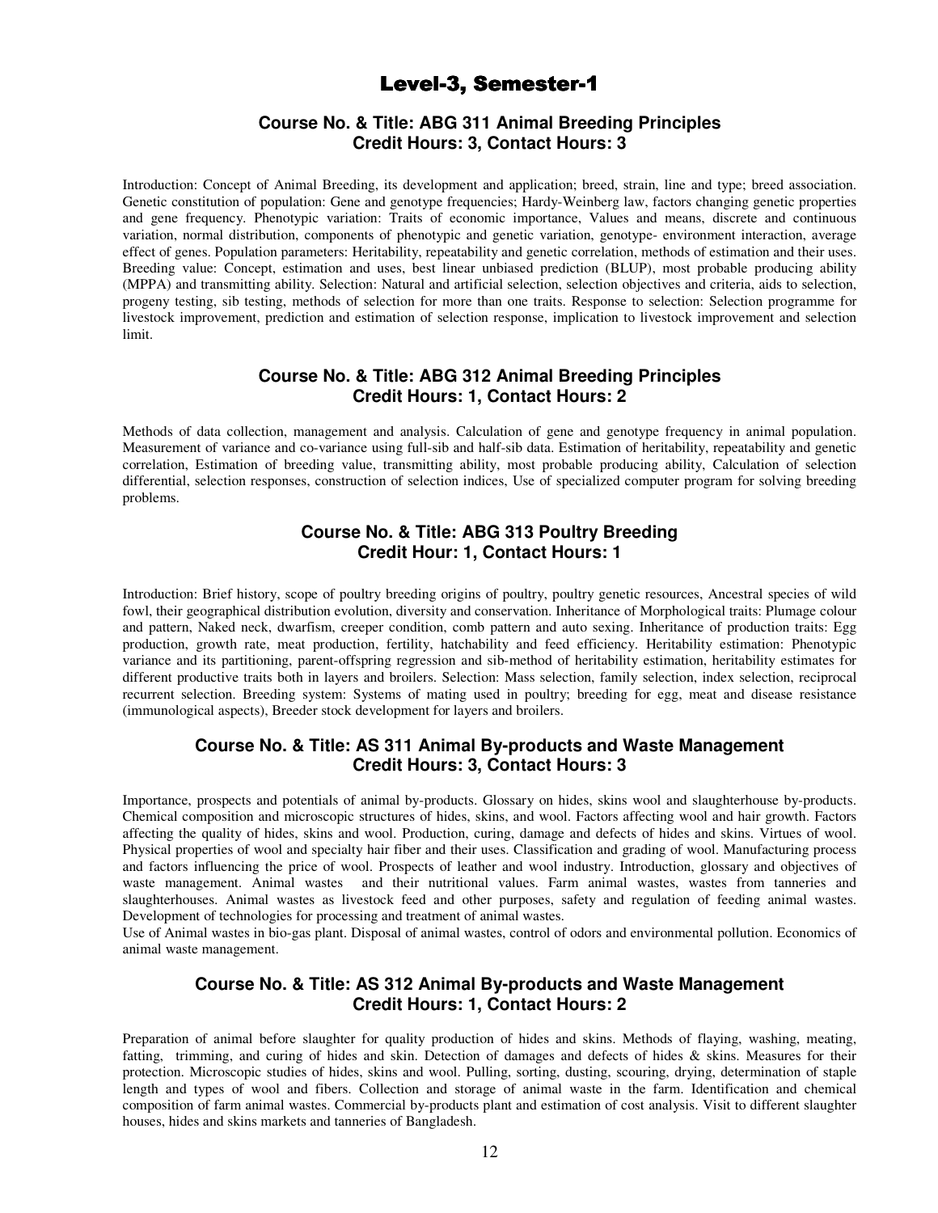# Level-3, Semester-1

## **Course No. & Title: ABG 311 Animal Breeding Principles Credit Hours: 3, Contact Hours: 3**

Introduction: Concept of Animal Breeding, its development and application; breed, strain, line and type; breed association. Genetic constitution of population: Gene and genotype frequencies; Hardy-Weinberg law, factors changing genetic properties and gene frequency. Phenotypic variation: Traits of economic importance, Values and means, discrete and continuous variation, normal distribution, components of phenotypic and genetic variation, genotype- environment interaction, average effect of genes. Population parameters: Heritability, repeatability and genetic correlation, methods of estimation and their uses. Breeding value: Concept, estimation and uses, best linear unbiased prediction (BLUP), most probable producing ability (MPPA) and transmitting ability. Selection: Natural and artificial selection, selection objectives and criteria, aids to selection, progeny testing, sib testing, methods of selection for more than one traits. Response to selection: Selection programme for livestock improvement, prediction and estimation of selection response, implication to livestock improvement and selection limit.

#### **Course No. & Title: ABG 312 Animal Breeding Principles Credit Hours: 1, Contact Hours: 2**

Methods of data collection, management and analysis. Calculation of gene and genotype frequency in animal population. Measurement of variance and co-variance using full-sib and half-sib data. Estimation of heritability, repeatability and genetic correlation, Estimation of breeding value, transmitting ability, most probable producing ability, Calculation of selection differential, selection responses, construction of selection indices, Use of specialized computer program for solving breeding problems.

### **Course No. & Title: ABG 313 Poultry Breeding Credit Hour: 1, Contact Hours: 1**

Introduction: Brief history, scope of poultry breeding origins of poultry, poultry genetic resources, Ancestral species of wild fowl, their geographical distribution evolution, diversity and conservation. Inheritance of Morphological traits: Plumage colour and pattern, Naked neck, dwarfism, creeper condition, comb pattern and auto sexing. Inheritance of production traits: Egg production, growth rate, meat production, fertility, hatchability and feed efficiency. Heritability estimation: Phenotypic variance and its partitioning, parent-offspring regression and sib-method of heritability estimation, heritability estimates for different productive traits both in layers and broilers. Selection: Mass selection, family selection, index selection, reciprocal recurrent selection. Breeding system: Systems of mating used in poultry; breeding for egg, meat and disease resistance (immunological aspects), Breeder stock development for layers and broilers.

#### **Course No. & Title: AS 311 Animal By-products and Waste Management Credit Hours: 3, Contact Hours: 3**

Importance, prospects and potentials of animal by-products. Glossary on hides, skins wool and slaughterhouse by-products. Chemical composition and microscopic structures of hides, skins, and wool. Factors affecting wool and hair growth. Factors affecting the quality of hides, skins and wool. Production, curing, damage and defects of hides and skins. Virtues of wool. Physical properties of wool and specialty hair fiber and their uses. Classification and grading of wool. Manufacturing process and factors influencing the price of wool. Prospects of leather and wool industry. Introduction, glossary and objectives of waste management. Animal wastes and their nutritional values. Farm animal wastes, wastes from tanneries and slaughterhouses. Animal wastes as livestock feed and other purposes, safety and regulation of feeding animal wastes. Development of technologies for processing and treatment of animal wastes.

Use of Animal wastes in bio-gas plant. Disposal of animal wastes, control of odors and environmental pollution. Economics of animal waste management.

#### **Course No. & Title: AS 312 Animal By-products and Waste Management Credit Hours: 1, Contact Hours: 2**

Preparation of animal before slaughter for quality production of hides and skins. Methods of flaying, washing, meating, fatting, trimming, and curing of hides and skin. Detection of damages and defects of hides & skins. Measures for their protection. Microscopic studies of hides, skins and wool. Pulling, sorting, dusting, scouring, drying, determination of staple length and types of wool and fibers. Collection and storage of animal waste in the farm. Identification and chemical composition of farm animal wastes. Commercial by-products plant and estimation of cost analysis. Visit to different slaughter houses, hides and skins markets and tanneries of Bangladesh.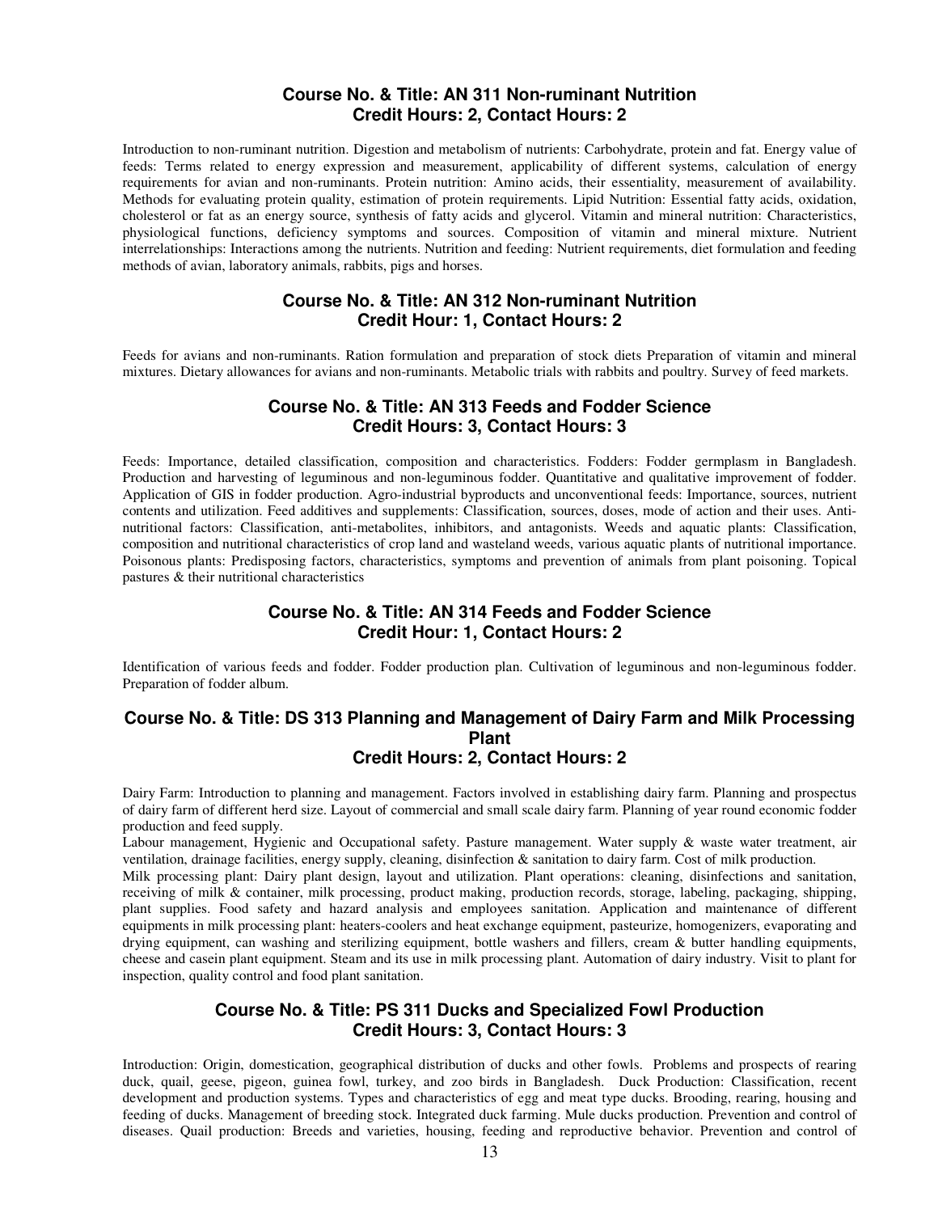#### **Course No. & Title: AN 311 Non-ruminant Nutrition Credit Hours: 2, Contact Hours: 2**

Introduction to non-ruminant nutrition. Digestion and metabolism of nutrients: Carbohydrate, protein and fat. Energy value of feeds: Terms related to energy expression and measurement, applicability of different systems, calculation of energy requirements for avian and non-ruminants. Protein nutrition: Amino acids, their essentiality, measurement of availability. Methods for evaluating protein quality, estimation of protein requirements. Lipid Nutrition: Essential fatty acids, oxidation, cholesterol or fat as an energy source, synthesis of fatty acids and glycerol. Vitamin and mineral nutrition: Characteristics, physiological functions, deficiency symptoms and sources. Composition of vitamin and mineral mixture. Nutrient interrelationships: Interactions among the nutrients. Nutrition and feeding: Nutrient requirements, diet formulation and feeding methods of avian, laboratory animals, rabbits, pigs and horses.

#### **Course No. & Title: AN 312 Non-ruminant Nutrition Credit Hour: 1, Contact Hours: 2**

Feeds for avians and non-ruminants. Ration formulation and preparation of stock diets Preparation of vitamin and mineral mixtures. Dietary allowances for avians and non-ruminants. Metabolic trials with rabbits and poultry. Survey of feed markets.

#### **Course No. & Title: AN 313 Feeds and Fodder Science Credit Hours: 3, Contact Hours: 3**

Feeds: Importance, detailed classification, composition and characteristics. Fodders: Fodder germplasm in Bangladesh. Production and harvesting of leguminous and non-leguminous fodder. Quantitative and qualitative improvement of fodder. Application of GIS in fodder production. Agro-industrial byproducts and unconventional feeds: Importance, sources, nutrient contents and utilization. Feed additives and supplements: Classification, sources, doses, mode of action and their uses. Antinutritional factors: Classification, anti-metabolites, inhibitors, and antagonists. Weeds and aquatic plants: Classification, composition and nutritional characteristics of crop land and wasteland weeds, various aquatic plants of nutritional importance. Poisonous plants: Predisposing factors, characteristics, symptoms and prevention of animals from plant poisoning. Topical pastures & their nutritional characteristics

## **Course No. & Title: AN 314 Feeds and Fodder Science Credit Hour: 1, Contact Hours: 2**

Identification of various feeds and fodder. Fodder production plan. Cultivation of leguminous and non-leguminous fodder. Preparation of fodder album.

#### **Course No. & Title: DS 313 Planning and Management of Dairy Farm and Milk Processing Plant Credit Hours: 2, Contact Hours: 2**

Dairy Farm: Introduction to planning and management. Factors involved in establishing dairy farm. Planning and prospectus of dairy farm of different herd size. Layout of commercial and small scale dairy farm. Planning of year round economic fodder production and feed supply.

Labour management, Hygienic and Occupational safety. Pasture management. Water supply & waste water treatment, air ventilation, drainage facilities, energy supply, cleaning, disinfection & sanitation to dairy farm. Cost of milk production.

Milk processing plant: Dairy plant design, layout and utilization. Plant operations: cleaning, disinfections and sanitation, receiving of milk & container, milk processing, product making, production records, storage, labeling, packaging, shipping, plant supplies. Food safety and hazard analysis and employees sanitation. Application and maintenance of different equipments in milk processing plant: heaters-coolers and heat exchange equipment, pasteurize, homogenizers, evaporating and drying equipment, can washing and sterilizing equipment, bottle washers and fillers, cream  $\&$  butter handling equipments, cheese and casein plant equipment. Steam and its use in milk processing plant. Automation of dairy industry. Visit to plant for inspection, quality control and food plant sanitation.

#### **Course No. & Title: PS 311 Ducks and Specialized Fowl Production Credit Hours: 3, Contact Hours: 3**

Introduction: Origin, domestication, geographical distribution of ducks and other fowls. Problems and prospects of rearing duck, quail, geese, pigeon, guinea fowl, turkey, and zoo birds in Bangladesh. Duck Production: Classification, recent development and production systems. Types and characteristics of egg and meat type ducks. Brooding, rearing, housing and feeding of ducks. Management of breeding stock. Integrated duck farming. Mule ducks production. Prevention and control of diseases. Quail production: Breeds and varieties, housing, feeding and reproductive behavior. Prevention and control of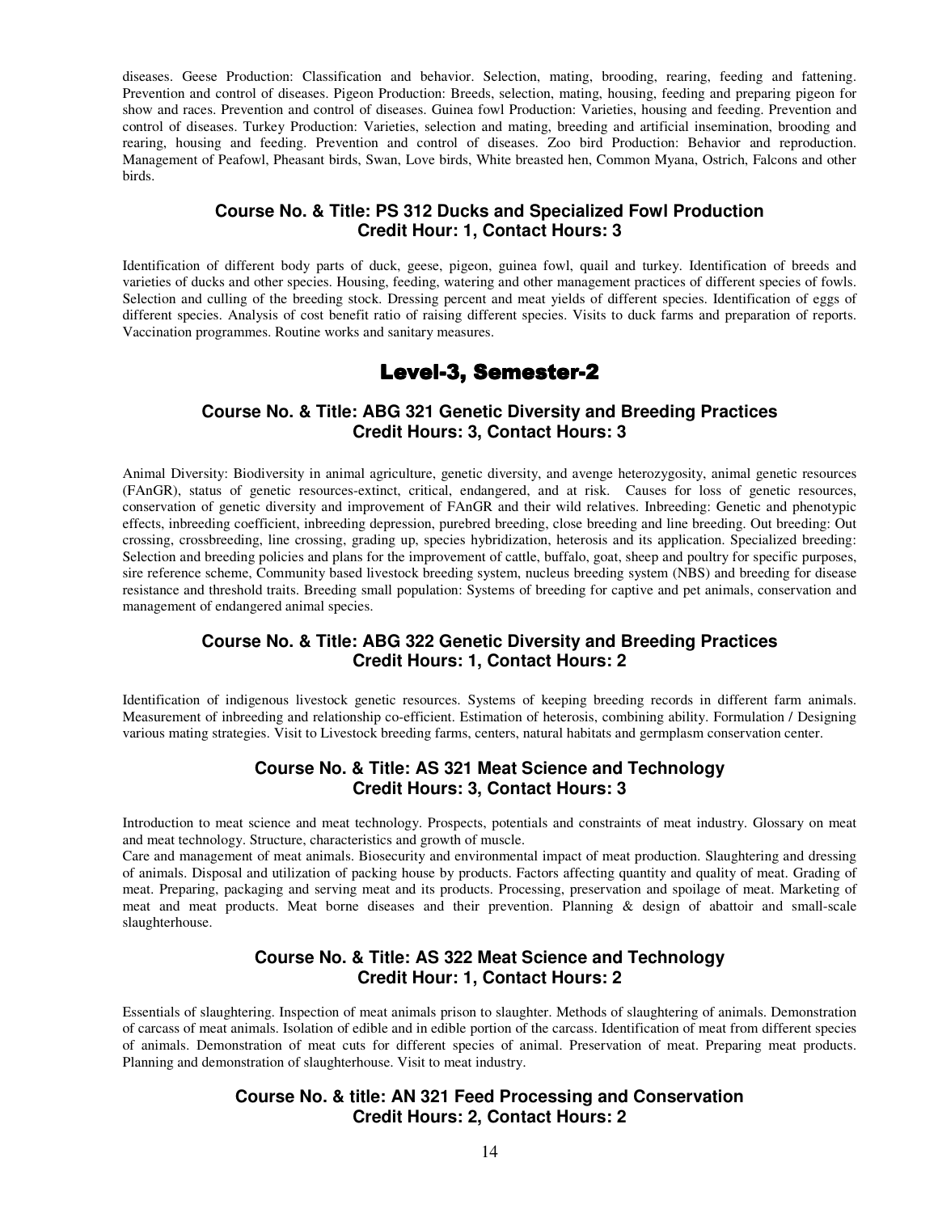diseases. Geese Production: Classification and behavior. Selection, mating, brooding, rearing, feeding and fattening. Prevention and control of diseases. Pigeon Production: Breeds, selection, mating, housing, feeding and preparing pigeon for show and races. Prevention and control of diseases. Guinea fowl Production: Varieties, housing and feeding. Prevention and control of diseases. Turkey Production: Varieties, selection and mating, breeding and artificial insemination, brooding and rearing, housing and feeding. Prevention and control of diseases. Zoo bird Production: Behavior and reproduction. Management of Peafowl, Pheasant birds, Swan, Love birds, White breasted hen, Common Myana, Ostrich, Falcons and other birds.

#### **Course No. & Title: PS 312 Ducks and Specialized Fowl Production Credit Hour: 1, Contact Hours: 3**

Identification of different body parts of duck, geese, pigeon, guinea fowl, quail and turkey. Identification of breeds and varieties of ducks and other species. Housing, feeding, watering and other management practices of different species of fowls. Selection and culling of the breeding stock. Dressing percent and meat yields of different species. Identification of eggs of different species. Analysis of cost benefit ratio of raising different species. Visits to duck farms and preparation of reports. Vaccination programmes. Routine works and sanitary measures.

# Level-3, Semester-2

## **Course No. & Title: ABG 321 Genetic Diversity and Breeding Practices Credit Hours: 3, Contact Hours: 3**

Animal Diversity: Biodiversity in animal agriculture, genetic diversity, and avenge heterozygosity, animal genetic resources (FAnGR), status of genetic resources-extinct, critical, endangered, and at risk. Causes for loss of genetic resources, conservation of genetic diversity and improvement of FAnGR and their wild relatives. Inbreeding: Genetic and phenotypic effects, inbreeding coefficient, inbreeding depression, purebred breeding, close breeding and line breeding. Out breeding: Out crossing, crossbreeding, line crossing, grading up, species hybridization, heterosis and its application. Specialized breeding: Selection and breeding policies and plans for the improvement of cattle, buffalo, goat, sheep and poultry for specific purposes, sire reference scheme, Community based livestock breeding system, nucleus breeding system (NBS) and breeding for disease resistance and threshold traits. Breeding small population: Systems of breeding for captive and pet animals, conservation and management of endangered animal species.

## **Course No. & Title: ABG 322 Genetic Diversity and Breeding Practices Credit Hours: 1, Contact Hours: 2**

Identification of indigenous livestock genetic resources. Systems of keeping breeding records in different farm animals. Measurement of inbreeding and relationship co-efficient. Estimation of heterosis, combining ability. Formulation / Designing various mating strategies. Visit to Livestock breeding farms, centers, natural habitats and germplasm conservation center.

#### **Course No. & Title: AS 321 Meat Science and Technology Credit Hours: 3, Contact Hours: 3**

Introduction to meat science and meat technology. Prospects, potentials and constraints of meat industry. Glossary on meat and meat technology. Structure, characteristics and growth of muscle.

Care and management of meat animals. Biosecurity and environmental impact of meat production. Slaughtering and dressing of animals. Disposal and utilization of packing house by products. Factors affecting quantity and quality of meat. Grading of meat. Preparing, packaging and serving meat and its products. Processing, preservation and spoilage of meat. Marketing of meat and meat products. Meat borne diseases and their prevention. Planning & design of abattoir and small-scale slaughterhouse.

#### **Course No. & Title: AS 322 Meat Science and Technology Credit Hour: 1, Contact Hours: 2**

Essentials of slaughtering. Inspection of meat animals prison to slaughter. Methods of slaughtering of animals. Demonstration of carcass of meat animals. Isolation of edible and in edible portion of the carcass. Identification of meat from different species of animals. Demonstration of meat cuts for different species of animal. Preservation of meat. Preparing meat products. Planning and demonstration of slaughterhouse. Visit to meat industry.

## **Course No. & title: AN 321 Feed Processing and Conservation Credit Hours: 2, Contact Hours: 2**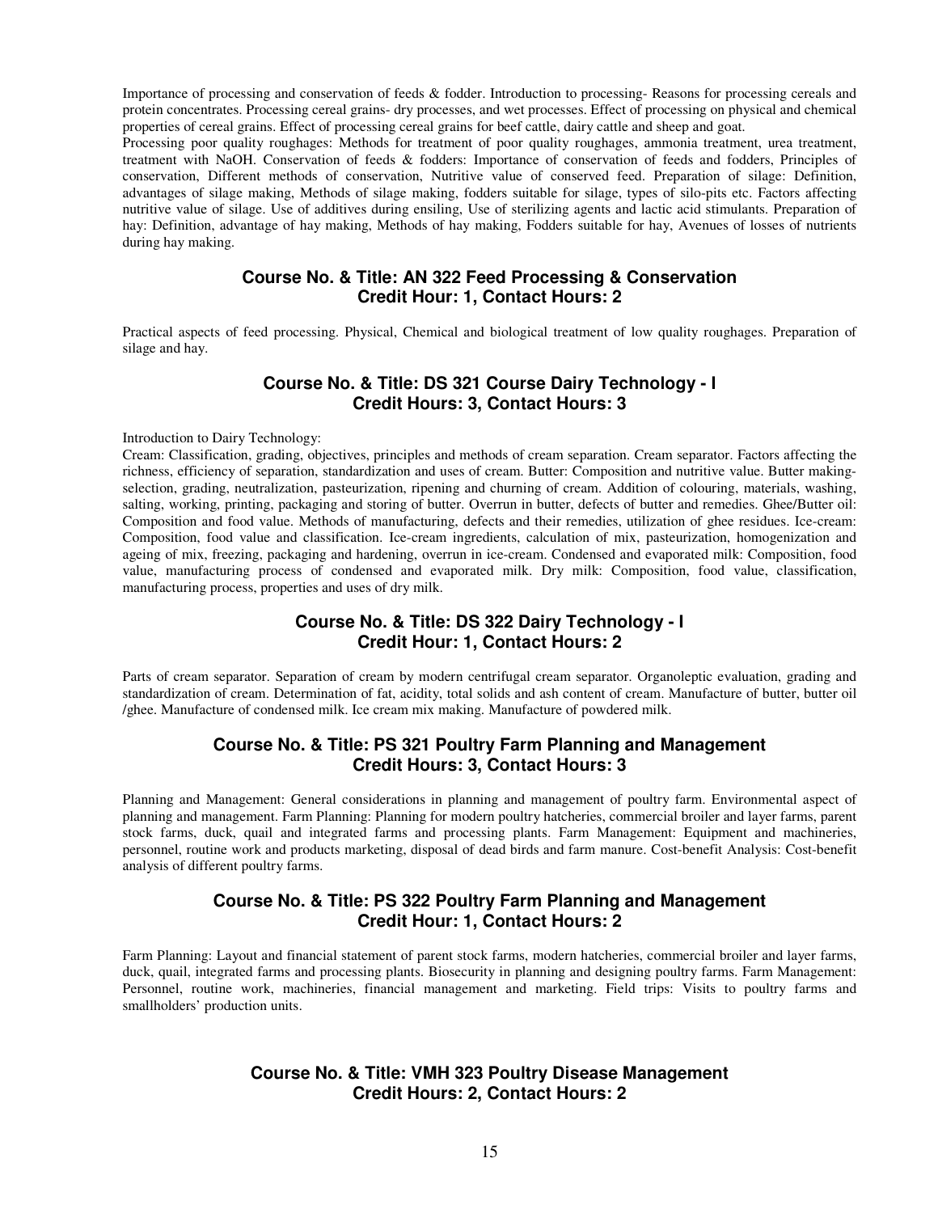Importance of processing and conservation of feeds & fodder. Introduction to processing- Reasons for processing cereals and protein concentrates. Processing cereal grains- dry processes, and wet processes. Effect of processing on physical and chemical properties of cereal grains. Effect of processing cereal grains for beef cattle, dairy cattle and sheep and goat.

Processing poor quality roughages: Methods for treatment of poor quality roughages, ammonia treatment, urea treatment, treatment with NaOH. Conservation of feeds & fodders: Importance of conservation of feeds and fodders, Principles of conservation, Different methods of conservation, Nutritive value of conserved feed. Preparation of silage: Definition, advantages of silage making, Methods of silage making, fodders suitable for silage, types of silo-pits etc. Factors affecting nutritive value of silage. Use of additives during ensiling, Use of sterilizing agents and lactic acid stimulants. Preparation of hay: Definition, advantage of hay making, Methods of hay making, Fodders suitable for hay, Avenues of losses of nutrients during hay making.

#### **Course No. & Title: AN 322 Feed Processing & Conservation Credit Hour: 1, Contact Hours: 2**

Practical aspects of feed processing. Physical, Chemical and biological treatment of low quality roughages. Preparation of silage and hay.

## **Course No. & Title: DS 321 Course Dairy Technology - I Credit Hours: 3, Contact Hours: 3**

#### Introduction to Dairy Technology:

Cream: Classification, grading, objectives, principles and methods of cream separation. Cream separator. Factors affecting the richness, efficiency of separation, standardization and uses of cream. Butter: Composition and nutritive value. Butter makingselection, grading, neutralization, pasteurization, ripening and churning of cream. Addition of colouring, materials, washing, salting, working, printing, packaging and storing of butter. Overrun in butter, defects of butter and remedies. Ghee/Butter oil: Composition and food value. Methods of manufacturing, defects and their remedies, utilization of ghee residues. Ice-cream: Composition, food value and classification. Ice-cream ingredients, calculation of mix, pasteurization, homogenization and ageing of mix, freezing, packaging and hardening, overrun in ice-cream. Condensed and evaporated milk: Composition, food value, manufacturing process of condensed and evaporated milk. Dry milk: Composition, food value, classification, manufacturing process, properties and uses of dry milk.

## **Course No. & Title: DS 322 Dairy Technology - I Credit Hour: 1, Contact Hours: 2**

Parts of cream separator. Separation of cream by modern centrifugal cream separator. Organoleptic evaluation, grading and standardization of cream. Determination of fat, acidity, total solids and ash content of cream. Manufacture of butter, butter oil /ghee. Manufacture of condensed milk. Ice cream mix making. Manufacture of powdered milk.

#### **Course No. & Title: PS 321 Poultry Farm Planning and Management Credit Hours: 3, Contact Hours: 3**

Planning and Management: General considerations in planning and management of poultry farm. Environmental aspect of planning and management. Farm Planning: Planning for modern poultry hatcheries, commercial broiler and layer farms, parent stock farms, duck, quail and integrated farms and processing plants. Farm Management: Equipment and machineries, personnel, routine work and products marketing, disposal of dead birds and farm manure. Cost-benefit Analysis: Cost-benefit analysis of different poultry farms.

## **Course No. & Title: PS 322 Poultry Farm Planning and Management Credit Hour: 1, Contact Hours: 2**

Farm Planning: Layout and financial statement of parent stock farms, modern hatcheries, commercial broiler and layer farms, duck, quail, integrated farms and processing plants. Biosecurity in planning and designing poultry farms. Farm Management: Personnel, routine work, machineries, financial management and marketing. Field trips: Visits to poultry farms and smallholders' production units.

#### **Course No. & Title: VMH 323 Poultry Disease Management Credit Hours: 2, Contact Hours: 2**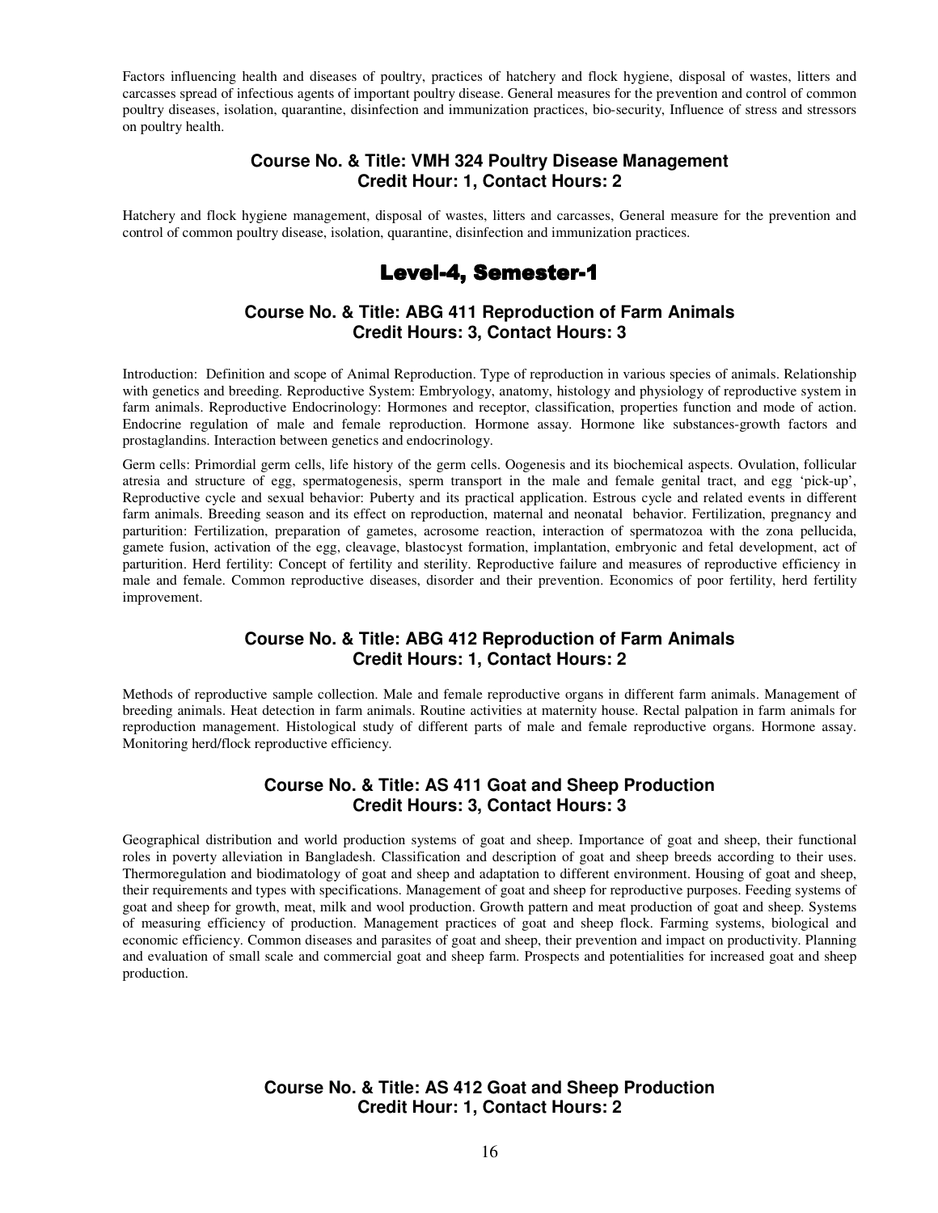Factors influencing health and diseases of poultry, practices of hatchery and flock hygiene, disposal of wastes, litters and carcasses spread of infectious agents of important poultry disease. General measures for the prevention and control of common poultry diseases, isolation, quarantine, disinfection and immunization practices, bio-security, Influence of stress and stressors on poultry health.

#### **Course No. & Title: VMH 324 Poultry Disease Management Credit Hour: 1, Contact Hours: 2**

Hatchery and flock hygiene management, disposal of wastes, litters and carcasses, General measure for the prevention and control of common poultry disease, isolation, quarantine, disinfection and immunization practices.

# Level-4, Semester-1

## **Course No. & Title: ABG 411 Reproduction of Farm Animals Credit Hours: 3, Contact Hours: 3**

Introduction: Definition and scope of Animal Reproduction. Type of reproduction in various species of animals. Relationship with genetics and breeding. Reproductive System: Embryology, anatomy, histology and physiology of reproductive system in farm animals. Reproductive Endocrinology: Hormones and receptor, classification, properties function and mode of action. Endocrine regulation of male and female reproduction. Hormone assay. Hormone like substances-growth factors and prostaglandins. Interaction between genetics and endocrinology.

Germ cells: Primordial germ cells, life history of the germ cells. Oogenesis and its biochemical aspects. Ovulation, follicular atresia and structure of egg, spermatogenesis, sperm transport in the male and female genital tract, and egg 'pick-up', Reproductive cycle and sexual behavior: Puberty and its practical application. Estrous cycle and related events in different farm animals. Breeding season and its effect on reproduction, maternal and neonatal behavior. Fertilization, pregnancy and parturition: Fertilization, preparation of gametes, acrosome reaction, interaction of spermatozoa with the zona pellucida, gamete fusion, activation of the egg, cleavage, blastocyst formation, implantation, embryonic and fetal development, act of parturition. Herd fertility: Concept of fertility and sterility. Reproductive failure and measures of reproductive efficiency in male and female. Common reproductive diseases, disorder and their prevention. Economics of poor fertility, herd fertility improvement.

#### **Course No. & Title: ABG 412 Reproduction of Farm Animals Credit Hours: 1, Contact Hours: 2**

Methods of reproductive sample collection. Male and female reproductive organs in different farm animals. Management of breeding animals. Heat detection in farm animals. Routine activities at maternity house. Rectal palpation in farm animals for reproduction management. Histological study of different parts of male and female reproductive organs. Hormone assay. Monitoring herd/flock reproductive efficiency.

## **Course No. & Title: AS 411 Goat and Sheep Production Credit Hours: 3, Contact Hours: 3**

Geographical distribution and world production systems of goat and sheep. Importance of goat and sheep, their functional roles in poverty alleviation in Bangladesh. Classification and description of goat and sheep breeds according to their uses. Thermoregulation and biodimatology of goat and sheep and adaptation to different environment. Housing of goat and sheep, their requirements and types with specifications. Management of goat and sheep for reproductive purposes. Feeding systems of goat and sheep for growth, meat, milk and wool production. Growth pattern and meat production of goat and sheep. Systems of measuring efficiency of production. Management practices of goat and sheep flock. Farming systems, biological and economic efficiency. Common diseases and parasites of goat and sheep, their prevention and impact on productivity. Planning and evaluation of small scale and commercial goat and sheep farm. Prospects and potentialities for increased goat and sheep production.

## **Course No. & Title: AS 412 Goat and Sheep Production Credit Hour: 1, Contact Hours: 2**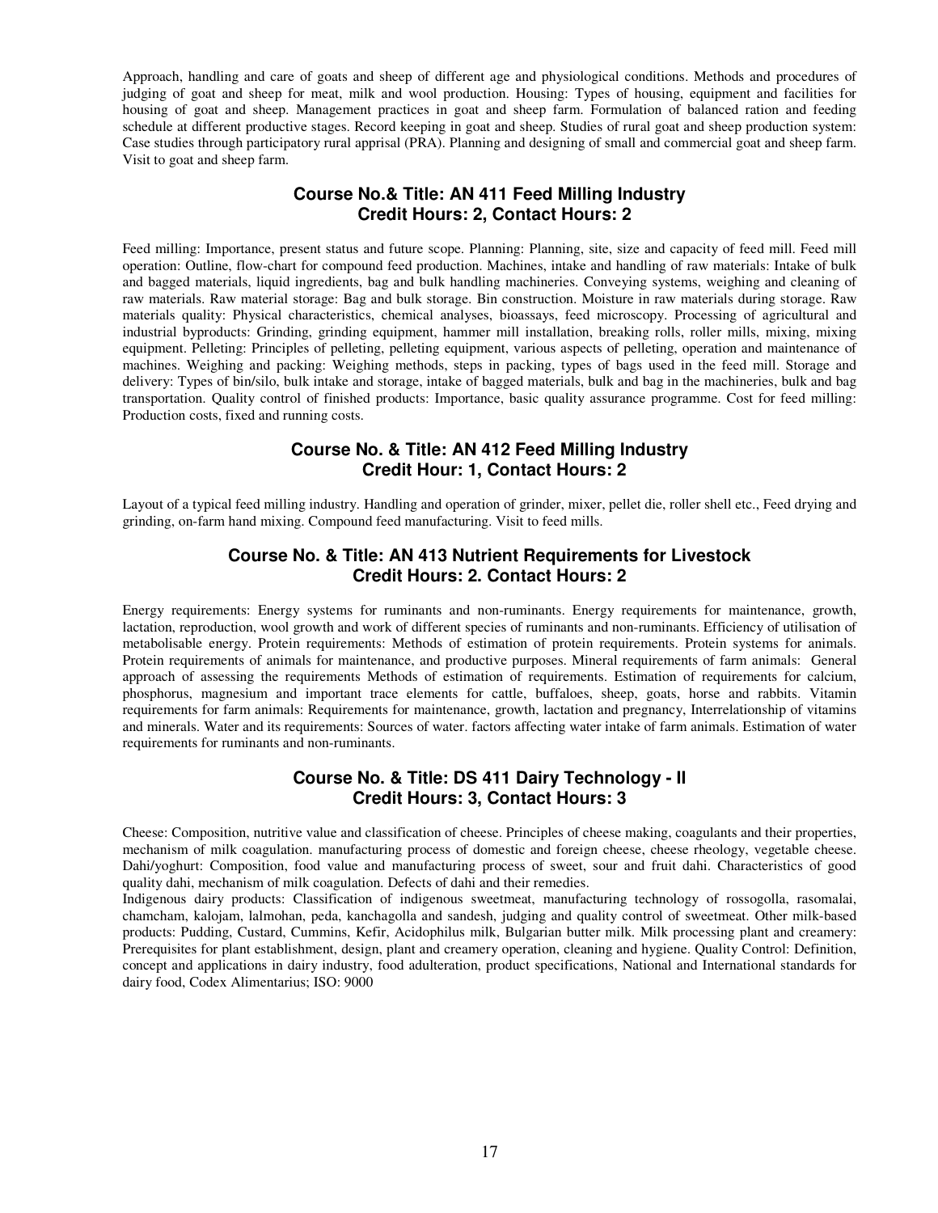Approach, handling and care of goats and sheep of different age and physiological conditions. Methods and procedures of judging of goat and sheep for meat, milk and wool production. Housing: Types of housing, equipment and facilities for housing of goat and sheep. Management practices in goat and sheep farm. Formulation of balanced ration and feeding schedule at different productive stages. Record keeping in goat and sheep. Studies of rural goat and sheep production system: Case studies through participatory rural apprisal (PRA). Planning and designing of small and commercial goat and sheep farm. Visit to goat and sheep farm.

## **Course No.& Title: AN 411 Feed Milling Industry Credit Hours: 2, Contact Hours: 2**

Feed milling: Importance, present status and future scope. Planning: Planning, site, size and capacity of feed mill. Feed mill operation: Outline, flow-chart for compound feed production. Machines, intake and handling of raw materials: Intake of bulk and bagged materials, liquid ingredients, bag and bulk handling machineries. Conveying systems, weighing and cleaning of raw materials. Raw material storage: Bag and bulk storage. Bin construction. Moisture in raw materials during storage. Raw materials quality: Physical characteristics, chemical analyses, bioassays, feed microscopy. Processing of agricultural and industrial byproducts: Grinding, grinding equipment, hammer mill installation, breaking rolls, roller mills, mixing, mixing equipment. Pelleting: Principles of pelleting, pelleting equipment, various aspects of pelleting, operation and maintenance of machines. Weighing and packing: Weighing methods, steps in packing, types of bags used in the feed mill. Storage and delivery: Types of bin/silo, bulk intake and storage, intake of bagged materials, bulk and bag in the machineries, bulk and bag transportation. Quality control of finished products: Importance, basic quality assurance programme. Cost for feed milling: Production costs, fixed and running costs.

## **Course No. & Title: AN 412 Feed Milling Industry Credit Hour: 1, Contact Hours: 2**

Layout of a typical feed milling industry. Handling and operation of grinder, mixer, pellet die, roller shell etc., Feed drying and grinding, on-farm hand mixing. Compound feed manufacturing. Visit to feed mills.

## **Course No. & Title: AN 413 Nutrient Requirements for Livestock Credit Hours: 2. Contact Hours: 2**

Energy requirements: Energy systems for ruminants and non-ruminants. Energy requirements for maintenance, growth, lactation, reproduction, wool growth and work of different species of ruminants and non-ruminants. Efficiency of utilisation of metabolisable energy. Protein requirements: Methods of estimation of protein requirements. Protein systems for animals. Protein requirements of animals for maintenance, and productive purposes. Mineral requirements of farm animals: General approach of assessing the requirements Methods of estimation of requirements. Estimation of requirements for calcium, phosphorus, magnesium and important trace elements for cattle, buffaloes, sheep, goats, horse and rabbits. Vitamin requirements for farm animals: Requirements for maintenance, growth, lactation and pregnancy, Interrelationship of vitamins and minerals. Water and its requirements: Sources of water. factors affecting water intake of farm animals. Estimation of water requirements for ruminants and non-ruminants.

#### **Course No. & Title: DS 411 Dairy Technology - II Credit Hours: 3, Contact Hours: 3**

Cheese: Composition, nutritive value and classification of cheese. Principles of cheese making, coagulants and their properties, mechanism of milk coagulation. manufacturing process of domestic and foreign cheese, cheese rheology, vegetable cheese. Dahi/yoghurt: Composition, food value and manufacturing process of sweet, sour and fruit dahi. Characteristics of good quality dahi, mechanism of milk coagulation. Defects of dahi and their remedies.

Indigenous dairy products: Classification of indigenous sweetmeat, manufacturing technology of rossogolla, rasomalai, chamcham, kalojam, lalmohan, peda, kanchagolla and sandesh, judging and quality control of sweetmeat. Other milk-based products: Pudding, Custard, Cummins, Kefir, Acidophilus milk, Bulgarian butter milk. Milk processing plant and creamery: Prerequisites for plant establishment, design, plant and creamery operation, cleaning and hygiene. Quality Control: Definition, concept and applications in dairy industry, food adulteration, product specifications, National and International standards for dairy food, Codex Alimentarius; ISO: 9000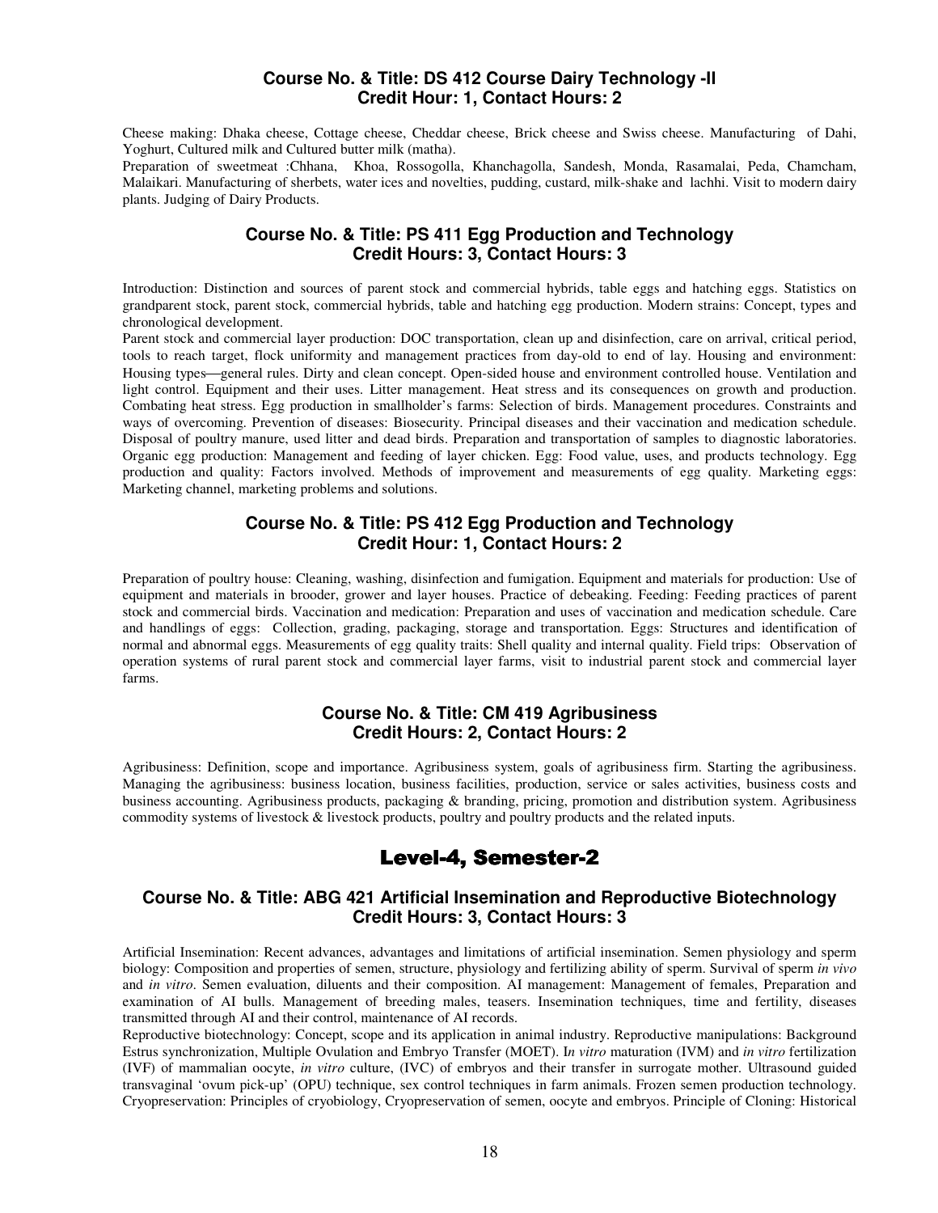#### **Course No. & Title: DS 412 Course Dairy Technology -II Credit Hour: 1, Contact Hours: 2**

Cheese making: Dhaka cheese, Cottage cheese, Cheddar cheese, Brick cheese and Swiss cheese. Manufacturing of Dahi, Yoghurt, Cultured milk and Cultured butter milk (matha).

Preparation of sweetmeat :Chhana, Khoa, Rossogolla, Khanchagolla, Sandesh, Monda, Rasamalai, Peda, Chamcham, Malaikari. Manufacturing of sherbets, water ices and novelties, pudding, custard, milk-shake and lachhi. Visit to modern dairy plants. Judging of Dairy Products.

## **Course No. & Title: PS 411 Egg Production and Technology Credit Hours: 3, Contact Hours: 3**

Introduction: Distinction and sources of parent stock and commercial hybrids, table eggs and hatching eggs. Statistics on grandparent stock, parent stock, commercial hybrids, table and hatching egg production. Modern strains: Concept, types and chronological development.

Parent stock and commercial layer production: DOC transportation, clean up and disinfection, care on arrival, critical period, tools to reach target, flock uniformity and management practices from day-old to end of lay. Housing and environment: Housing types—general rules. Dirty and clean concept. Open-sided house and environment controlled house. Ventilation and light control. Equipment and their uses. Litter management. Heat stress and its consequences on growth and production. Combating heat stress. Egg production in smallholder's farms: Selection of birds. Management procedures. Constraints and ways of overcoming. Prevention of diseases: Biosecurity. Principal diseases and their vaccination and medication schedule. Disposal of poultry manure, used litter and dead birds. Preparation and transportation of samples to diagnostic laboratories. Organic egg production: Management and feeding of layer chicken. Egg: Food value, uses, and products technology. Egg production and quality: Factors involved. Methods of improvement and measurements of egg quality. Marketing eggs: Marketing channel, marketing problems and solutions.

## **Course No. & Title: PS 412 Egg Production and Technology Credit Hour: 1, Contact Hours: 2**

Preparation of poultry house: Cleaning, washing, disinfection and fumigation. Equipment and materials for production: Use of equipment and materials in brooder, grower and layer houses. Practice of debeaking. Feeding: Feeding practices of parent stock and commercial birds. Vaccination and medication: Preparation and uses of vaccination and medication schedule. Care and handlings of eggs: Collection, grading, packaging, storage and transportation. Eggs: Structures and identification of normal and abnormal eggs. Measurements of egg quality traits: Shell quality and internal quality. Field trips: Observation of operation systems of rural parent stock and commercial layer farms, visit to industrial parent stock and commercial layer farms.

## **Course No. & Title: CM 419 Agribusiness Credit Hours: 2, Contact Hours: 2**

Agribusiness: Definition, scope and importance. Agribusiness system, goals of agribusiness firm. Starting the agribusiness. Managing the agribusiness: business location, business facilities, production, service or sales activities, business costs and business accounting. Agribusiness products, packaging & branding, pricing, promotion and distribution system. Agribusiness commodity systems of livestock & livestock products, poultry and poultry products and the related inputs.

# Level-4, Semester-2

## **Course No. & Title: ABG 421 Artificial Insemination and Reproductive Biotechnology Credit Hours: 3, Contact Hours: 3**

Artificial Insemination: Recent advances, advantages and limitations of artificial insemination. Semen physiology and sperm biology: Composition and properties of semen, structure, physiology and fertilizing ability of sperm. Survival of sperm *in vivo* and *in vitro*. Semen evaluation, diluents and their composition. AI management: Management of females, Preparation and examination of AI bulls. Management of breeding males, teasers. Insemination techniques, time and fertility, diseases transmitted through AI and their control, maintenance of AI records.

Reproductive biotechnology: Concept, scope and its application in animal industry. Reproductive manipulations: Background Estrus synchronization, Multiple Ovulation and Embryo Transfer (MOET). I*n vitro* maturation (IVM) and *in vitro* fertilization (IVF) of mammalian oocyte, *in vitro* culture, (IVC) of embryos and their transfer in surrogate mother. Ultrasound guided transvaginal 'ovum pick-up' (OPU) technique, sex control techniques in farm animals. Frozen semen production technology. Cryopreservation: Principles of cryobiology, Cryopreservation of semen, oocyte and embryos. Principle of Cloning: Historical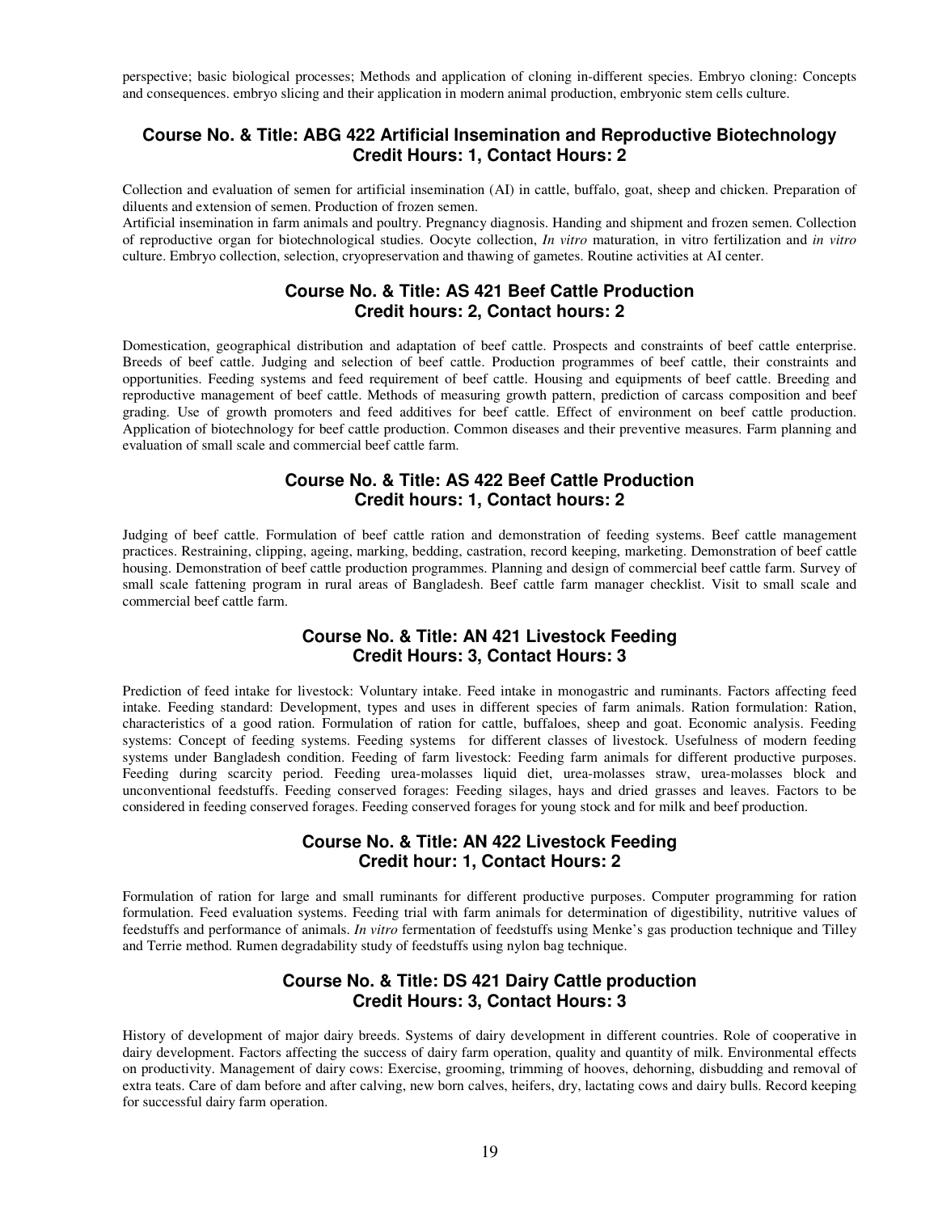perspective; basic biological processes; Methods and application of cloning in-different species. Embryo cloning: Concepts and consequences. embryo slicing and their application in modern animal production, embryonic stem cells culture.

## **Course No. & Title: ABG 422 Artificial Insemination and Reproductive Biotechnology Credit Hours: 1, Contact Hours: 2**

Collection and evaluation of semen for artificial insemination (AI) in cattle, buffalo, goat, sheep and chicken. Preparation of diluents and extension of semen. Production of frozen semen.

Artificial insemination in farm animals and poultry. Pregnancy diagnosis. Handing and shipment and frozen semen. Collection of reproductive organ for biotechnological studies. Oocyte collection, *In vitro* maturation, in vitro fertilization and *in vitro*  culture. Embryo collection, selection, cryopreservation and thawing of gametes. Routine activities at AI center.

## **Course No. & Title: AS 421 Beef Cattle Production Credit hours: 2, Contact hours: 2**

Domestication, geographical distribution and adaptation of beef cattle. Prospects and constraints of beef cattle enterprise. Breeds of beef cattle. Judging and selection of beef cattle. Production programmes of beef cattle, their constraints and opportunities. Feeding systems and feed requirement of beef cattle. Housing and equipments of beef cattle. Breeding and reproductive management of beef cattle. Methods of measuring growth pattern, prediction of carcass composition and beef grading. Use of growth promoters and feed additives for beef cattle. Effect of environment on beef cattle production. Application of biotechnology for beef cattle production. Common diseases and their preventive measures. Farm planning and evaluation of small scale and commercial beef cattle farm.

#### **Course No. & Title: AS 422 Beef Cattle Production Credit hours: 1, Contact hours: 2**

Judging of beef cattle. Formulation of beef cattle ration and demonstration of feeding systems. Beef cattle management practices. Restraining, clipping, ageing, marking, bedding, castration, record keeping, marketing. Demonstration of beef cattle housing. Demonstration of beef cattle production programmes. Planning and design of commercial beef cattle farm. Survey of small scale fattening program in rural areas of Bangladesh. Beef cattle farm manager checklist. Visit to small scale and commercial beef cattle farm.

## **Course No. & Title: AN 421 Livestock Feeding Credit Hours: 3, Contact Hours: 3**

Prediction of feed intake for livestock: Voluntary intake. Feed intake in monogastric and ruminants. Factors affecting feed intake. Feeding standard: Development, types and uses in different species of farm animals. Ration formulation: Ration, characteristics of a good ration. Formulation of ration for cattle, buffaloes, sheep and goat. Economic analysis. Feeding systems: Concept of feeding systems. Feeding systems for different classes of livestock. Usefulness of modern feeding systems under Bangladesh condition. Feeding of farm livestock: Feeding farm animals for different productive purposes. Feeding during scarcity period. Feeding urea-molasses liquid diet, urea-molasses straw, urea-molasses block and unconventional feedstuffs. Feeding conserved forages: Feeding silages, hays and dried grasses and leaves. Factors to be considered in feeding conserved forages. Feeding conserved forages for young stock and for milk and beef production.

## **Course No. & Title: AN 422 Livestock Feeding Credit hour: 1, Contact Hours: 2**

Formulation of ration for large and small ruminants for different productive purposes. Computer programming for ration formulation. Feed evaluation systems. Feeding trial with farm animals for determination of digestibility, nutritive values of feedstuffs and performance of animals. *In vitro* fermentation of feedstuffs using Menke's gas production technique and Tilley and Terrie method. Rumen degradability study of feedstuffs using nylon bag technique.

## **Course No. & Title: DS 421 Dairy Cattle production Credit Hours: 3, Contact Hours: 3**

History of development of major dairy breeds. Systems of dairy development in different countries. Role of cooperative in dairy development. Factors affecting the success of dairy farm operation, quality and quantity of milk. Environmental effects on productivity. Management of dairy cows: Exercise, grooming, trimming of hooves, dehorning, disbudding and removal of extra teats. Care of dam before and after calving, new born calves, heifers, dry, lactating cows and dairy bulls. Record keeping for successful dairy farm operation.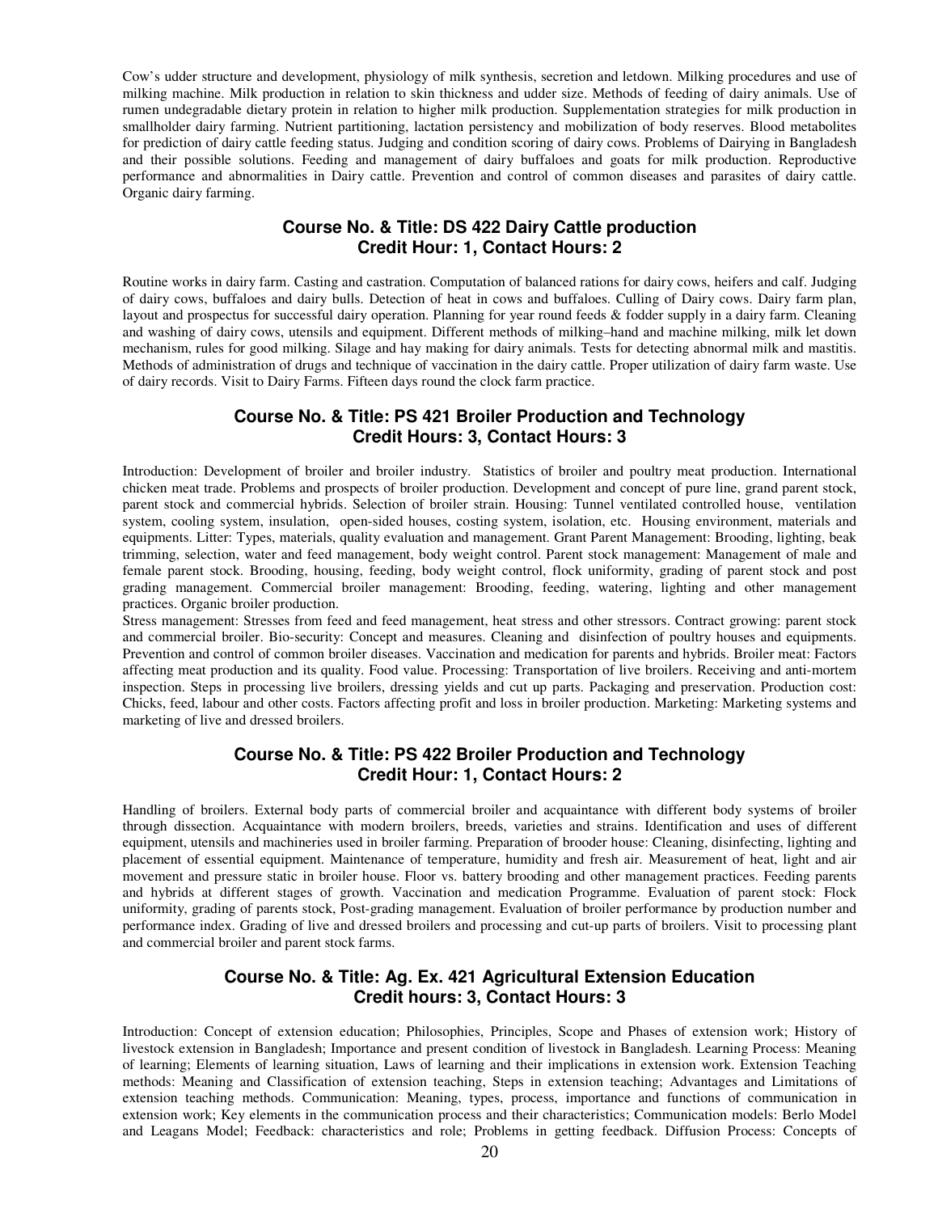Cow's udder structure and development, physiology of milk synthesis, secretion and letdown. Milking procedures and use of milking machine. Milk production in relation to skin thickness and udder size. Methods of feeding of dairy animals. Use of rumen undegradable dietary protein in relation to higher milk production. Supplementation strategies for milk production in smallholder dairy farming. Nutrient partitioning, lactation persistency and mobilization of body reserves. Blood metabolites for prediction of dairy cattle feeding status. Judging and condition scoring of dairy cows. Problems of Dairying in Bangladesh and their possible solutions. Feeding and management of dairy buffaloes and goats for milk production. Reproductive performance and abnormalities in Dairy cattle. Prevention and control of common diseases and parasites of dairy cattle. Organic dairy farming.

## **Course No. & Title: DS 422 Dairy Cattle production Credit Hour: 1, Contact Hours: 2**

Routine works in dairy farm. Casting and castration. Computation of balanced rations for dairy cows, heifers and calf. Judging of dairy cows, buffaloes and dairy bulls. Detection of heat in cows and buffaloes. Culling of Dairy cows. Dairy farm plan, layout and prospectus for successful dairy operation. Planning for year round feeds & fodder supply in a dairy farm. Cleaning and washing of dairy cows, utensils and equipment. Different methods of milking–hand and machine milking, milk let down mechanism, rules for good milking. Silage and hay making for dairy animals. Tests for detecting abnormal milk and mastitis. Methods of administration of drugs and technique of vaccination in the dairy cattle. Proper utilization of dairy farm waste. Use of dairy records. Visit to Dairy Farms. Fifteen days round the clock farm practice.

#### **Course No. & Title: PS 421 Broiler Production and Technology Credit Hours: 3, Contact Hours: 3**

Introduction: Development of broiler and broiler industry. Statistics of broiler and poultry meat production. International chicken meat trade. Problems and prospects of broiler production. Development and concept of pure line, grand parent stock, parent stock and commercial hybrids. Selection of broiler strain. Housing: Tunnel ventilated controlled house, ventilation system, cooling system, insulation, open-sided houses, costing system, isolation, etc. Housing environment, materials and equipments. Litter: Types, materials, quality evaluation and management. Grant Parent Management: Brooding, lighting, beak trimming, selection, water and feed management, body weight control. Parent stock management: Management of male and female parent stock. Brooding, housing, feeding, body weight control, flock uniformity, grading of parent stock and post grading management. Commercial broiler management: Brooding, feeding, watering, lighting and other management practices. Organic broiler production.

Stress management: Stresses from feed and feed management, heat stress and other stressors. Contract growing: parent stock and commercial broiler. Bio-security: Concept and measures. Cleaning and disinfection of poultry houses and equipments. Prevention and control of common broiler diseases. Vaccination and medication for parents and hybrids. Broiler meat: Factors affecting meat production and its quality. Food value. Processing: Transportation of live broilers. Receiving and anti-mortem inspection. Steps in processing live broilers, dressing yields and cut up parts. Packaging and preservation. Production cost: Chicks, feed, labour and other costs. Factors affecting profit and loss in broiler production. Marketing: Marketing systems and marketing of live and dressed broilers.

## **Course No. & Title: PS 422 Broiler Production and Technology Credit Hour: 1, Contact Hours: 2**

Handling of broilers. External body parts of commercial broiler and acquaintance with different body systems of broiler through dissection. Acquaintance with modern broilers, breeds, varieties and strains. Identification and uses of different equipment, utensils and machineries used in broiler farming. Preparation of brooder house: Cleaning, disinfecting, lighting and placement of essential equipment. Maintenance of temperature, humidity and fresh air. Measurement of heat, light and air movement and pressure static in broiler house. Floor vs. battery brooding and other management practices. Feeding parents and hybrids at different stages of growth. Vaccination and medication Programme. Evaluation of parent stock: Flock uniformity, grading of parents stock, Post-grading management. Evaluation of broiler performance by production number and performance index. Grading of live and dressed broilers and processing and cut-up parts of broilers. Visit to processing plant and commercial broiler and parent stock farms.

#### **Course No. & Title: Ag. Ex. 421 Agricultural Extension Education Credit hours: 3, Contact Hours: 3**

Introduction: Concept of extension education; Philosophies, Principles, Scope and Phases of extension work; History of livestock extension in Bangladesh; Importance and present condition of livestock in Bangladesh. Learning Process: Meaning of learning; Elements of learning situation, Laws of learning and their implications in extension work. Extension Teaching methods: Meaning and Classification of extension teaching, Steps in extension teaching; Advantages and Limitations of extension teaching methods. Communication: Meaning, types, process, importance and functions of communication in extension work; Key elements in the communication process and their characteristics; Communication models: Berlo Model and Leagans Model; Feedback: characteristics and role; Problems in getting feedback. Diffusion Process: Concepts of